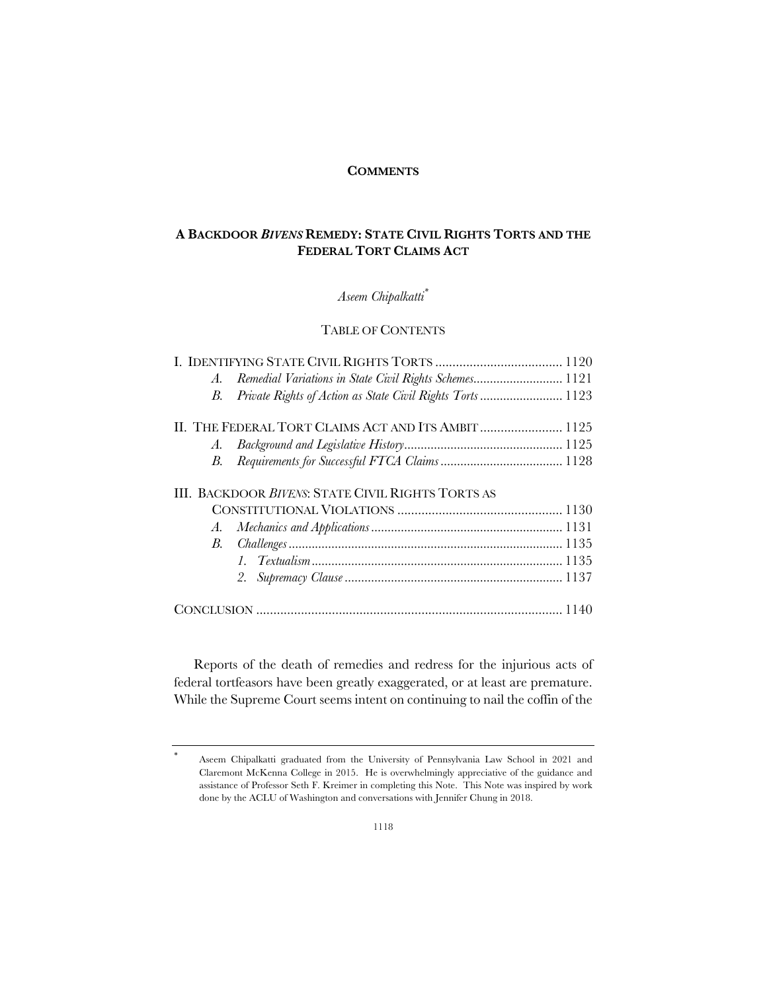## **COMMENTS**

# **A BACKDOOR** *BIVENS* **REMEDY: STATE CIVIL RIGHTS TORTS AND THE FEDERAL TORT CLAIMS ACT**

# *Aseem Chipalkatti\**

# TABLE OF CONTENTS

|  | A. | Remedial Variations in State Civil Rights Schemes 1121     |  |
|--|----|------------------------------------------------------------|--|
|  | В. | Private Rights of Action as State Civil Rights Torts  1123 |  |
|  |    |                                                            |  |
|  | A. |                                                            |  |
|  | В. |                                                            |  |
|  |    | III. BACKDOOR <i>BIVENS</i> : STATE CIVIL RIGHTS TORTS AS  |  |
|  |    |                                                            |  |
|  | A. |                                                            |  |
|  | B. |                                                            |  |
|  |    |                                                            |  |
|  |    | 2.                                                         |  |
|  |    |                                                            |  |

Reports of the death of remedies and redress for the injurious acts of federal tortfeasors have been greatly exaggerated, or at least are premature. While the Supreme Court seems intent on continuing to nail the coffin of the

<sup>\*</sup> Aseem Chipalkatti graduated from the University of Pennsylvania Law School in 2021 and Claremont McKenna College in 2015. He is overwhelmingly appreciative of the guidance and assistance of Professor Seth F. Kreimer in completing this Note. This Note was inspired by work done by the ACLU of Washington and conversations with Jennifer Chung in 2018.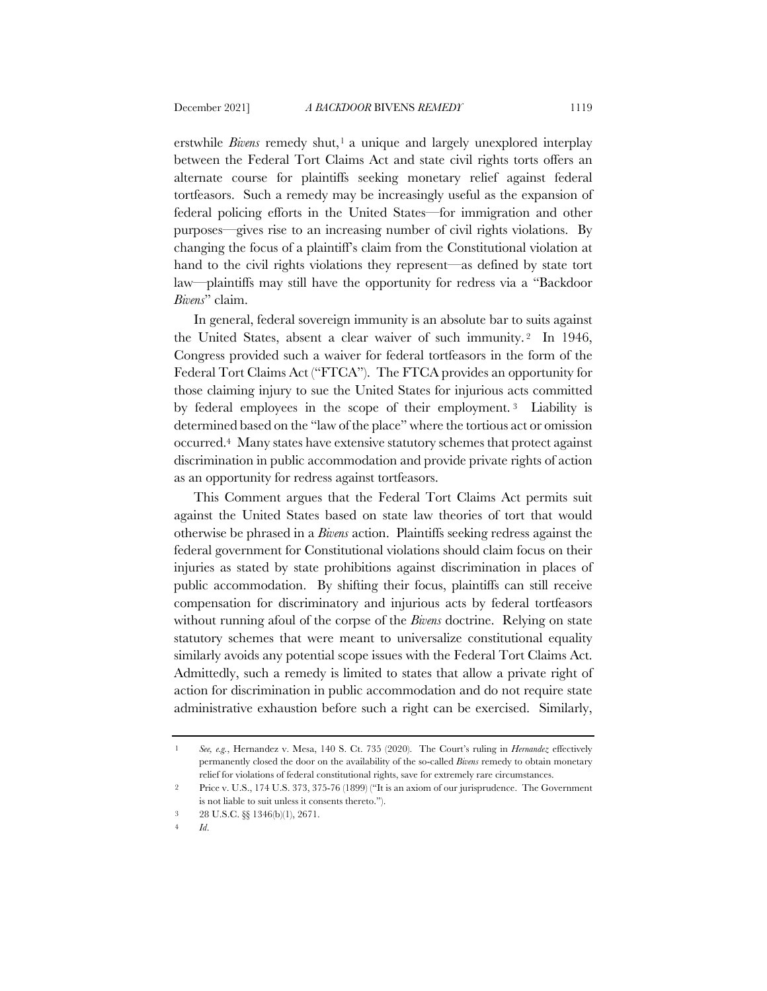erstwhile *Bivens* remedy shut,<sup>1</sup> a unique and largely unexplored interplay between the Federal Tort Claims Act and state civil rights torts offers an alternate course for plaintiffs seeking monetary relief against federal tortfeasors. Such a remedy may be increasingly useful as the expansion of federal policing efforts in the United States—for immigration and other purposes—gives rise to an increasing number of civil rights violations. By changing the focus of a plaintiff's claim from the Constitutional violation at hand to the civil rights violations they represent—as defined by state tort law—plaintiffs may still have the opportunity for redress via a "Backdoor *Bivens*" claim.

In general, federal sovereign immunity is an absolute bar to suits against the United States, absent a clear waiver of such immunity. <sup>2</sup> In 1946, Congress provided such a waiver for federal tortfeasors in the form of the Federal Tort Claims Act ("FTCA"). The FTCA provides an opportunity for those claiming injury to sue the United States for injurious acts committed by federal employees in the scope of their employment. <sup>3</sup> Liability is determined based on the "law of the place" where the tortious act or omission occurred.4 Many states have extensive statutory schemes that protect against discrimination in public accommodation and provide private rights of action as an opportunity for redress against tortfeasors.

This Comment argues that the Federal Tort Claims Act permits suit against the United States based on state law theories of tort that would otherwise be phrased in a *Bivens* action. Plaintiffs seeking redress against the federal government for Constitutional violations should claim focus on their injuries as stated by state prohibitions against discrimination in places of public accommodation. By shifting their focus, plaintiffs can still receive compensation for discriminatory and injurious acts by federal tortfeasors without running afoul of the corpse of the *Bivens* doctrine. Relying on state statutory schemes that were meant to universalize constitutional equality similarly avoids any potential scope issues with the Federal Tort Claims Act. Admittedly, such a remedy is limited to states that allow a private right of action for discrimination in public accommodation and do not require state administrative exhaustion before such a right can be exercised. Similarly,

<sup>1</sup> *See, e.g.*, Hernandez v. Mesa, 140 S. Ct. 735 (2020). The Court's ruling in *Hernandez* effectively permanently closed the door on the availability of the so-called *Bivens* remedy to obtain monetary relief for violations of federal constitutional rights, save for extremely rare circumstances.

<sup>2</sup> Price v. U.S., 174 U.S. 373, 375-76 (1899) ("It is an axiom of our jurisprudence. The Government is not liable to suit unless it consents thereto.").

<sup>3</sup> 28 U.S.C. §§ 1346(b)(1), 2671.

<sup>4</sup> *Id*.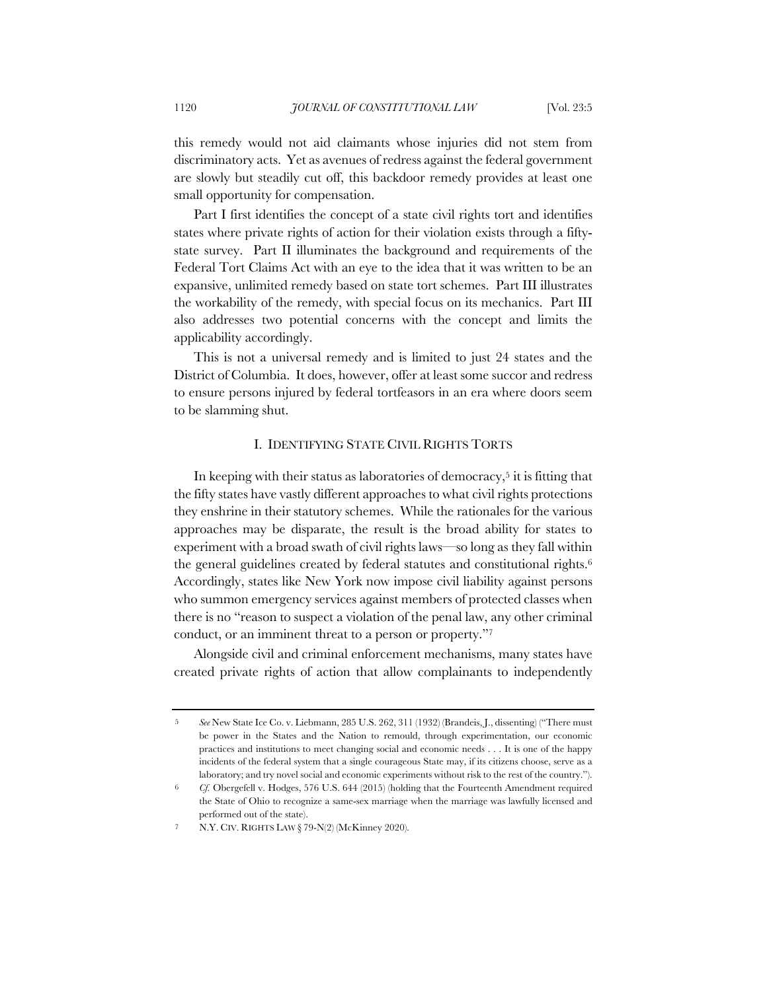this remedy would not aid claimants whose injuries did not stem from discriminatory acts. Yet as avenues of redress against the federal government are slowly but steadily cut off, this backdoor remedy provides at least one small opportunity for compensation.

Part I first identifies the concept of a state civil rights tort and identifies states where private rights of action for their violation exists through a fiftystate survey. Part II illuminates the background and requirements of the Federal Tort Claims Act with an eye to the idea that it was written to be an expansive, unlimited remedy based on state tort schemes. Part III illustrates the workability of the remedy, with special focus on its mechanics. Part III also addresses two potential concerns with the concept and limits the applicability accordingly.

This is not a universal remedy and is limited to just 24 states and the District of Columbia. It does, however, offer at least some succor and redress to ensure persons injured by federal tortfeasors in an era where doors seem to be slamming shut.

## I. IDENTIFYING STATE CIVIL RIGHTS TORTS

In keeping with their status as laboratories of democracy,<sup>5</sup> it is fitting that the fifty states have vastly different approaches to what civil rights protections they enshrine in their statutory schemes. While the rationales for the various approaches may be disparate, the result is the broad ability for states to experiment with a broad swath of civil rights laws—so long as they fall within the general guidelines created by federal statutes and constitutional rights.<sup>6</sup> Accordingly, states like New York now impose civil liability against persons who summon emergency services against members of protected classes when there is no "reason to suspect a violation of the penal law, any other criminal conduct, or an imminent threat to a person or property."7

Alongside civil and criminal enforcement mechanisms, many states have created private rights of action that allow complainants to independently

<sup>5</sup> *See* New State Ice Co. v. Liebmann, 285 U.S. 262, 311 (1932) (Brandeis, J., dissenting) ("There must be power in the States and the Nation to remould, through experimentation, our economic practices and institutions to meet changing social and economic needs . . . It is one of the happy incidents of the federal system that a single courageous State may, if its citizens choose, serve as a laboratory; and try novel social and economic experiments without risk to the rest of the country.").

<sup>6</sup> *Cf.* Obergefell v. Hodges, 576 U.S. 644 (2015) (holding that the Fourteenth Amendment required the State of Ohio to recognize a same-sex marriage when the marriage was lawfully licensed and performed out of the state).

<sup>7</sup> N.Y. CIV. RIGHTS LAW § 79-N(2) (McKinney 2020).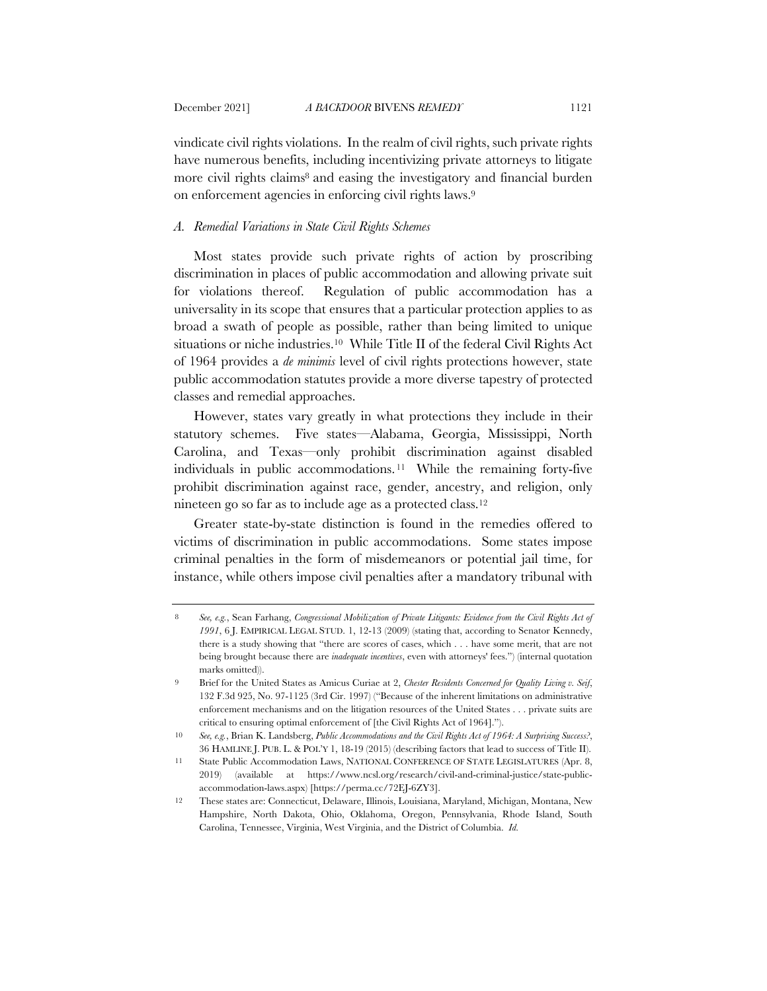vindicate civil rights violations. In the realm of civil rights, such private rights have numerous benefits, including incentivizing private attorneys to litigate more civil rights claims<sup>8</sup> and easing the investigatory and financial burden on enforcement agencies in enforcing civil rights laws.9

## *A. Remedial Variations in State Civil Rights Schemes*

Most states provide such private rights of action by proscribing discrimination in places of public accommodation and allowing private suit for violations thereof. Regulation of public accommodation has a universality in its scope that ensures that a particular protection applies to as broad a swath of people as possible, rather than being limited to unique situations or niche industries.<sup>10</sup> While Title II of the federal Civil Rights Act of 1964 provides a *de minimis* level of civil rights protections however, state public accommodation statutes provide a more diverse tapestry of protected classes and remedial approaches.

However, states vary greatly in what protections they include in their statutory schemes. Five states—Alabama, Georgia, Mississippi, North Carolina, and Texas—only prohibit discrimination against disabled individuals in public accommodations. <sup>11</sup> While the remaining forty-five prohibit discrimination against race, gender, ancestry, and religion, only nineteen go so far as to include age as a protected class.12

Greater state-by-state distinction is found in the remedies offered to victims of discrimination in public accommodations. Some states impose criminal penalties in the form of misdemeanors or potential jail time, for instance, while others impose civil penalties after a mandatory tribunal with

<sup>8</sup> *See, e.g.*, Sean Farhang, *Congressional Mobilization of Private Litigants: Evidence from the Civil Rights Act of 1991*, 6 J. EMPIRICAL LEGAL STUD. 1, 12-13 (2009) (stating that, according to Senator Kennedy, there is a study showing that "there are scores of cases, which . . . have some merit, that are not being brought because there are *inadequate incentives*, even with attorneys' fees.") (internal quotation marks omitted)).

<sup>9</sup> Brief for the United States as Amicus Curiae at 2, *Chester Residents Concerned for Quality Living v. Seif*, 132 F.3d 925, No. 97-1125 (3rd Cir. 1997) ("Because of the inherent limitations on administrative enforcement mechanisms and on the litigation resources of the United States . . . private suits are critical to ensuring optimal enforcement of [the Civil Rights Act of 1964].").

<sup>10</sup> *See, e.g.*, Brian K. Landsberg, *Public Accommodations and the Civil Rights Act of 1964: A Surprising Success?*, 36 HAMLINE J. PUB. L. & POL'Y 1, 18-19 (2015) (describing factors that lead to success of Title II).

<sup>11</sup> State Public Accommodation Laws, NATIONAL CONFERENCE OF STATE LEGISLATURES (Apr. 8, 2019) (available at https://www.ncsl.org/research/civil-and-criminal-justice/state-publicaccommodation-laws.aspx) [https://perma.cc/72EJ-6ZY3].

<sup>12</sup> These states are: Connecticut, Delaware, Illinois, Louisiana, Maryland, Michigan, Montana, New Hampshire, North Dakota, Ohio, Oklahoma, Oregon, Pennsylvania, Rhode Island, South Carolina, Tennessee, Virginia, West Virginia, and the District of Columbia. *Id.*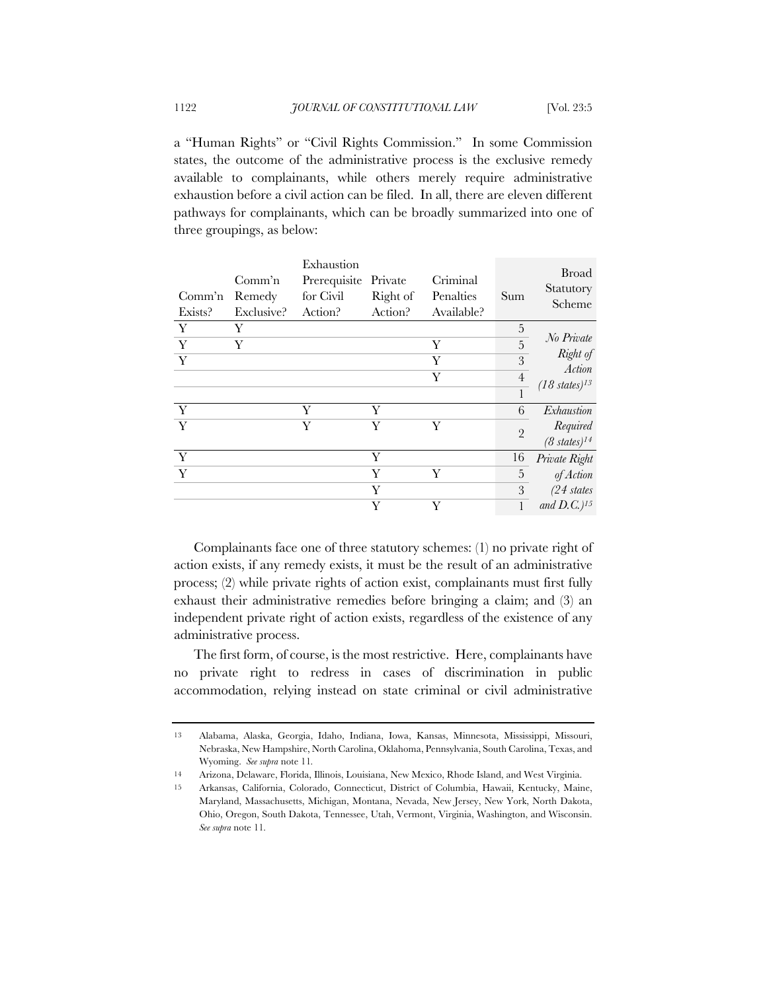a "Human Rights" or "Civil Rights Commission." In some Commission states, the outcome of the administrative process is the exclusive remedy available to complainants, while others merely require administrative exhaustion before a civil action can be filed. In all, there are eleven different pathways for complainants, which can be broadly summarized into one of three groupings, as below:

| Comm'n<br>Exists? | Comm <sup>3</sup> n<br>Remedy<br>Exclusive? | Exhaustion<br>Prerequisite<br>for Civil<br>Action? | Private<br>Right of<br>Action? | Criminal<br>Penalties<br>Available? | Sum            | <b>Broad</b><br>Statutory<br>Scheme |
|-------------------|---------------------------------------------|----------------------------------------------------|--------------------------------|-------------------------------------|----------------|-------------------------------------|
| Y                 | Y                                           |                                                    |                                |                                     | 5              |                                     |
| Y                 | Y                                           |                                                    |                                | Y                                   | $\overline{5}$ | No Private                          |
| Y                 |                                             |                                                    |                                | Y                                   | 3              | Right of<br>Action                  |
|                   |                                             |                                                    |                                | Y                                   | $\overline{4}$ | $(18 \text{ states})^{13}$          |
|                   |                                             |                                                    |                                |                                     |                |                                     |
| $\mathbf{Y}$      |                                             | Y                                                  | Y                              |                                     | 6              | Exhaustion                          |
| $\overline{Y}$    |                                             | Y                                                  | Y                              | Y                                   | $\overline{2}$ | Required                            |
|                   |                                             |                                                    |                                |                                     |                | $(8 \; states)^{14}$                |
| Y                 |                                             |                                                    | Y                              |                                     | 16             | Private Right                       |
| $\mathbf{Y}$      |                                             |                                                    | Y                              | Y                                   | 5              | of Action                           |
|                   |                                             |                                                    | Y                              |                                     | 3              | $(24 \; states$                     |
|                   |                                             |                                                    | Y                              | Y                                   |                | and $D.C.$ ) <sup>15</sup>          |

Complainants face one of three statutory schemes: (1) no private right of action exists, if any remedy exists, it must be the result of an administrative process; (2) while private rights of action exist, complainants must first fully exhaust their administrative remedies before bringing a claim; and (3) an independent private right of action exists, regardless of the existence of any administrative process.

The first form, of course, is the most restrictive. Here, complainants have no private right to redress in cases of discrimination in public accommodation, relying instead on state criminal or civil administrative

<sup>13</sup> Alabama, Alaska, Georgia, Idaho, Indiana, Iowa, Kansas, Minnesota, Mississippi, Missouri, Nebraska, New Hampshire, North Carolina, Oklahoma, Pennsylvania, South Carolina, Texas, and Wyoming. *See supra* note 11*.*

<sup>14</sup> Arizona, Delaware, Florida, Illinois, Louisiana, New Mexico, Rhode Island, and West Virginia.

<sup>15</sup> Arkansas, California, Colorado, Connecticut, District of Columbia, Hawaii, Kentucky, Maine, Maryland, Massachusetts, Michigan, Montana, Nevada, New Jersey, New York, North Dakota, Ohio, Oregon, South Dakota, Tennessee, Utah, Vermont, Virginia, Washington, and Wisconsin. *See supra* note 11*.*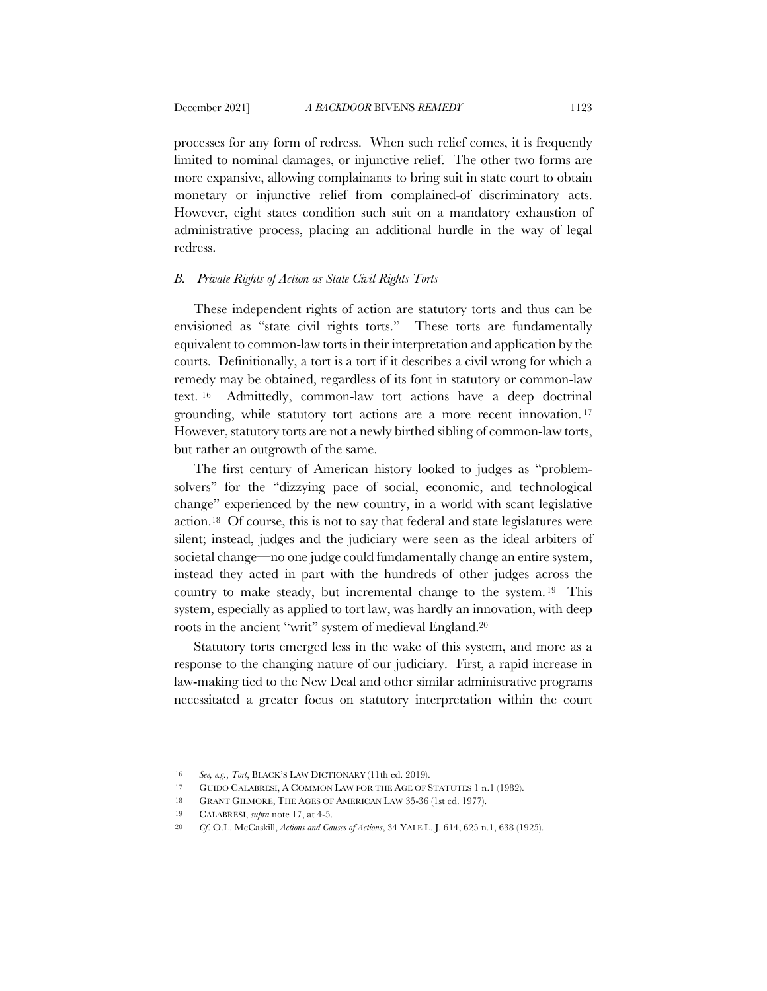processes for any form of redress. When such relief comes, it is frequently limited to nominal damages, or injunctive relief. The other two forms are more expansive, allowing complainants to bring suit in state court to obtain

monetary or injunctive relief from complained-of discriminatory acts. However, eight states condition such suit on a mandatory exhaustion of administrative process, placing an additional hurdle in the way of legal redress.

## *B. Private Rights of Action as State Civil Rights Torts*

These independent rights of action are statutory torts and thus can be envisioned as "state civil rights torts." These torts are fundamentally equivalent to common-law torts in their interpretation and application by the courts. Definitionally, a tort is a tort if it describes a civil wrong for which a remedy may be obtained, regardless of its font in statutory or common-law text. <sup>16</sup> Admittedly, common-law tort actions have a deep doctrinal grounding, while statutory tort actions are a more recent innovation. <sup>17</sup> However, statutory torts are not a newly birthed sibling of common-law torts, but rather an outgrowth of the same.

The first century of American history looked to judges as "problemsolvers" for the "dizzying pace of social, economic, and technological change" experienced by the new country, in a world with scant legislative action.18 Of course, this is not to say that federal and state legislatures were silent; instead, judges and the judiciary were seen as the ideal arbiters of societal change—no one judge could fundamentally change an entire system, instead they acted in part with the hundreds of other judges across the country to make steady, but incremental change to the system. <sup>19</sup> This system, especially as applied to tort law, was hardly an innovation, with deep roots in the ancient "writ" system of medieval England.20

Statutory torts emerged less in the wake of this system, and more as a response to the changing nature of our judiciary. First, a rapid increase in law-making tied to the New Deal and other similar administrative programs necessitated a greater focus on statutory interpretation within the court

<sup>16</sup> *See, e.g.*, *Tort*, BLACK'S LAW DICTIONARY (11th ed. 2019).

<sup>17</sup> GUIDO CALABRESI, A COMMON LAW FOR THE AGE OF STATUTES 1 n.1 (1982).

<sup>18</sup> GRANT GILMORE, THE AGES OF AMERICAN LAW 35-36 (1st ed. 1977).

<sup>19</sup> CALABRESI, *supra* note 17, at 4-5.

<sup>20</sup> *Cf*. O.L. McCaskill, *Actions and Causes of Actions*, 34 YALE L. J. 614, 625 n.1, 638 (1925).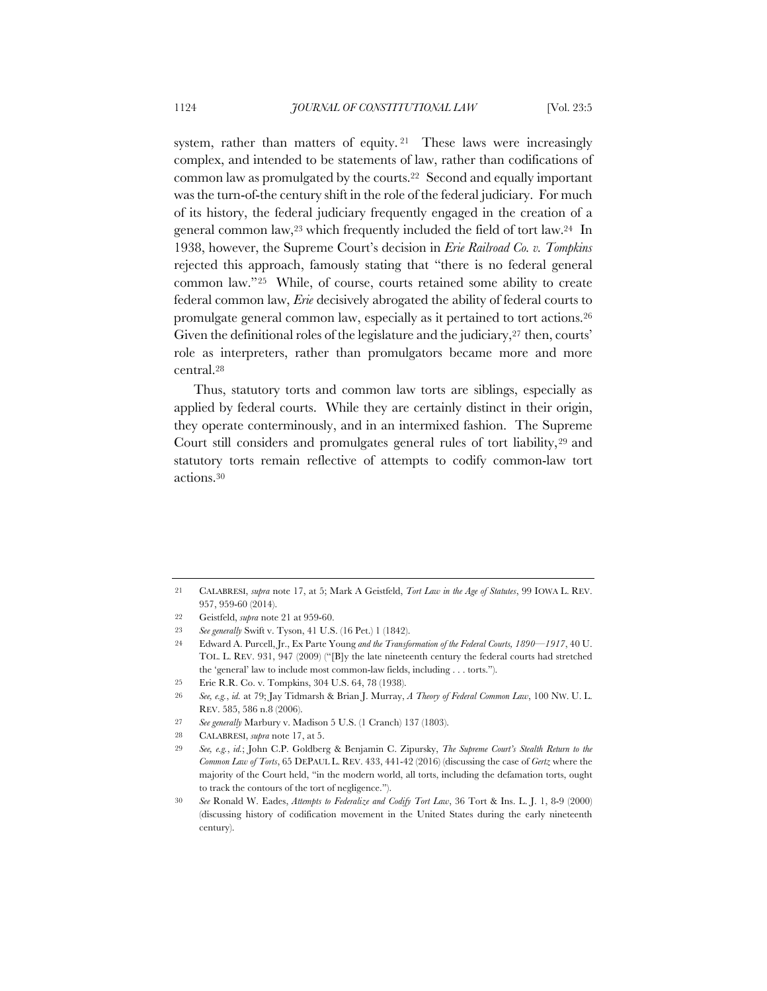system, rather than matters of equity. <sup>21</sup> These laws were increasingly complex, and intended to be statements of law, rather than codifications of common law as promulgated by the courts.22 Second and equally important was the turn-of-the century shift in the role of the federal judiciary. For much of its history, the federal judiciary frequently engaged in the creation of a general common law,23 which frequently included the field of tort law.24 In 1938, however, the Supreme Court's decision in *Erie Railroad Co. v. Tompkins* rejected this approach, famously stating that "there is no federal general common law."25 While, of course, courts retained some ability to create federal common law, *Erie* decisively abrogated the ability of federal courts to promulgate general common law, especially as it pertained to tort actions.26 Given the definitional roles of the legislature and the judiciary,<sup>27</sup> then, courts' role as interpreters, rather than promulgators became more and more central.28

Thus, statutory torts and common law torts are siblings, especially as applied by federal courts. While they are certainly distinct in their origin, they operate conterminously, and in an intermixed fashion. The Supreme Court still considers and promulgates general rules of tort liability, <sup>29</sup> and statutory torts remain reflective of attempts to codify common-law tort actions.30

<sup>21</sup> CALABRESI, *supra* note 17, at 5; Mark A Geistfeld, *Tort Law in the Age of Statutes*, 99 IOWA L. REV. 957, 959-60 (2014).

<sup>22</sup> Geistfeld, *supra* note 21 at 959-60.

<sup>23</sup> *See generally* Swift v. Tyson, 41 U.S. (16 Pet.) 1 (1842).

<sup>24</sup> Edward A. Purcell, Jr., Ex Parte Young *and the Transformation of the Federal Courts, 1890—1917*, 40 U. TOL. L. REV. 931, 947 (2009) ("[B]y the late nineteenth century the federal courts had stretched the 'general' law to include most common-law fields, including . . . torts.").

<sup>25</sup> Erie R.R. Co. v. Tompkins, 304 U.S. 64, 78 (1938).

<sup>26</sup> *See, e.g.*, *id.* at 79; Jay Tidmarsh & Brian J. Murray, *A Theory of Federal Common Law*, 100 NW. U. L. REV. 585, 586 n.8 (2006).

<sup>27</sup> *See generally* Marbury v. Madison 5 U.S. (1 Cranch) 137 (1803).

<sup>28</sup> CALABRESI, *supra* note 17, at 5.

<sup>29</sup> *See, e.g.*, *id.*; John C.P. Goldberg & Benjamin C. Zipursky, *The Supreme Court's Stealth Return to the Common Law of Torts*, 65 DEPAUL L. REV. 433, 441-42 (2016) (discussing the case of *Gertz* where the majority of the Court held, "in the modern world, all torts, including the defamation torts, ought to track the contours of the tort of negligence.").

<sup>30</sup> *See* Ronald W. Eades, *Attempts to Federalize and Codify Tort Law*, 36 Tort & Ins. L. J. 1, 8-9 (2000) (discussing history of codification movement in the United States during the early nineteenth century).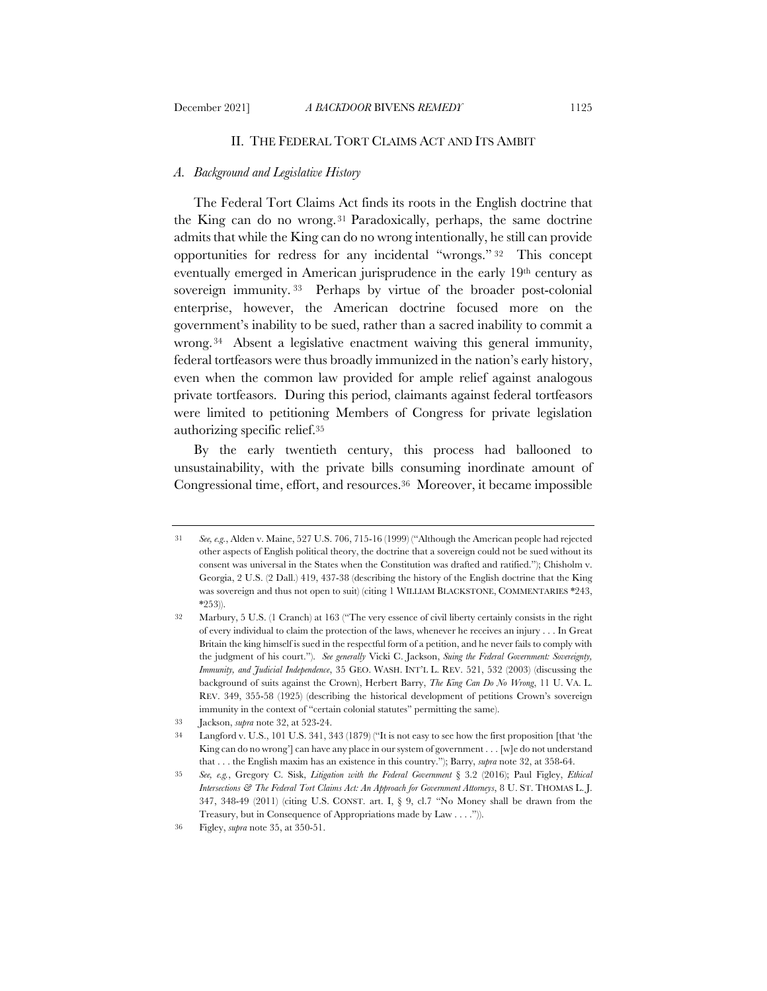## II. THE FEDERAL TORT CLAIMS ACT AND ITS AMBIT

## *A. Background and Legislative History*

The Federal Tort Claims Act finds its roots in the English doctrine that the King can do no wrong. <sup>31</sup> Paradoxically, perhaps, the same doctrine admits that while the King can do no wrong intentionally, he still can provide opportunities for redress for any incidental "wrongs." <sup>32</sup> This concept eventually emerged in American jurisprudence in the early 19th century as sovereign immunity.<sup>33</sup> Perhaps by virtue of the broader post-colonial enterprise, however, the American doctrine focused more on the government's inability to be sued, rather than a sacred inability to commit a wrong. <sup>34</sup> Absent a legislative enactment waiving this general immunity, federal tortfeasors were thus broadly immunized in the nation's early history, even when the common law provided for ample relief against analogous private tortfeasors. During this period, claimants against federal tortfeasors were limited to petitioning Members of Congress for private legislation authorizing specific relief.35

By the early twentieth century, this process had ballooned to unsustainability, with the private bills consuming inordinate amount of Congressional time, effort, and resources.36 Moreover, it became impossible

<sup>31</sup> *See, e.g.*, Alden v. Maine, 527 U.S. 706, 715-16 (1999) ("Although the American people had rejected other aspects of English political theory, the doctrine that a sovereign could not be sued without its consent was universal in the States when the Constitution was drafted and ratified."); Chisholm v. Georgia, 2 U.S. (2 Dall.) 419, 437-38 (describing the history of the English doctrine that the King was sovereign and thus not open to suit) (citing 1 WILLIAM BLACKSTONE, COMMENTARIES \*243, \*253)).

<sup>32</sup> Marbury, 5 U.S. (1 Cranch) at 163 ("The very essence of civil liberty certainly consists in the right of every individual to claim the protection of the laws, whenever he receives an injury . . . In Great Britain the king himself is sued in the respectful form of a petition, and he never fails to comply with the judgment of his court."). *See generally* Vicki C. Jackson, *Suing the Federal Government: Sovereignty, Immunity, and Judicial Independence*, 35 GEO. WASH. INT'L L. REV. 521, 532 (2003) (discussing the background of suits against the Crown), Herbert Barry, *The King Can Do No Wrong*, 11 U. VA. L. REV. 349, 355-58 (1925) (describing the historical development of petitions Crown's sovereign immunity in the context of "certain colonial statutes" permitting the same).

<sup>33</sup> Jackson, *supra* note 32, at 523-24.

<sup>34</sup> Langford v. U.S., 101 U.S. 341, 343 (1879) ("It is not easy to see how the first proposition [that 'the King can do no wrong'] can have any place in our system of government . . . [w]e do not understand that . . . the English maxim has an existence in this country."); Barry, *supra* note 32, at 358-64.

<sup>35</sup> *See, e.g.*, Gregory C. Sisk, *Litigation with the Federal Government* § 3.2 (2016); Paul Figley, *Ethical Intersections & The Federal Tort Claims Act: An Approach for Government Attorneys*, 8 U. ST. THOMAS L. J. 347, 348-49 (2011) (citing U.S. CONST. art. I, § 9, cl.7 "No Money shall be drawn from the Treasury, but in Consequence of Appropriations made by Law . . . .")).

<sup>36</sup> Figley, *supra* note 35, at 350-51.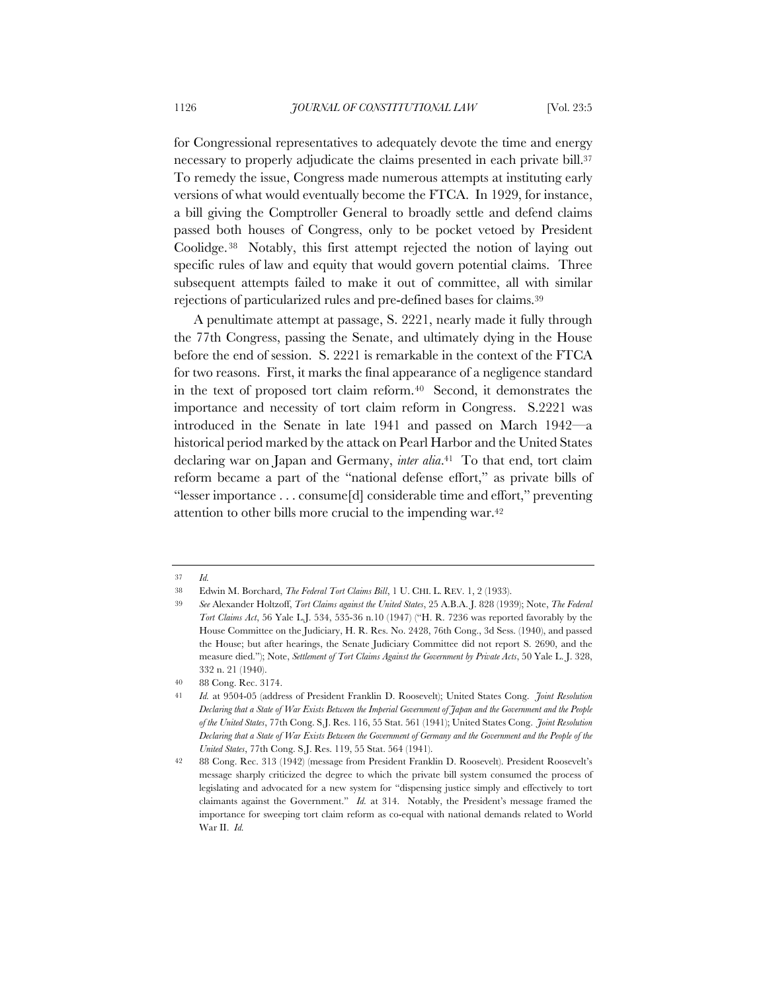for Congressional representatives to adequately devote the time and energy necessary to properly adjudicate the claims presented in each private bill.<sup>37</sup> To remedy the issue, Congress made numerous attempts at instituting early versions of what would eventually become the FTCA. In 1929, for instance, a bill giving the Comptroller General to broadly settle and defend claims passed both houses of Congress, only to be pocket vetoed by President Coolidge. <sup>38</sup> Notably, this first attempt rejected the notion of laying out specific rules of law and equity that would govern potential claims. Three subsequent attempts failed to make it out of committee, all with similar rejections of particularized rules and pre-defined bases for claims.39

A penultimate attempt at passage, S. 2221, nearly made it fully through the 77th Congress, passing the Senate, and ultimately dying in the House before the end of session. S. 2221 is remarkable in the context of the FTCA for two reasons. First, it marks the final appearance of a negligence standard in the text of proposed tort claim reform.40 Second, it demonstrates the importance and necessity of tort claim reform in Congress. S.2221 was introduced in the Senate in late 1941 and passed on March 1942—a historical period marked by the attack on Pearl Harbor and the United States declaring war on Japan and Germany, *inter alia*.41 To that end, tort claim reform became a part of the "national defense effort," as private bills of "lesser importance . . . consume[d] considerable time and effort," preventing attention to other bills more crucial to the impending war.42

<sup>37</sup> *Id.*

<sup>38</sup> Edwin M. Borchard, *The Federal Tort Claims Bill*, 1 U. CHI. L. REV. 1, 2 (1933).

<sup>39</sup> *See* Alexander Holtzoff, *Tort Claims against the United States*, 25 A.B.A. J. 828 (1939); Note, *The Federal Tort Claims Act*, 56 Yale L.J. 534, 535-36 n.10 (1947) ("H. R. 7236 was reported favorably by the House Committee on the Judiciary, H. R. Res. No. 2428, 76th Cong., 3d Sess. (1940), and passed the House; but after hearings, the Senate Judiciary Committee did not report S. 2690, and the measure died."); Note, *Settlement of Tort Claims Against the Government by Private Acts*, 50 Yale L. J. 328, 332 n. 21 (1940).

<sup>40</sup> 88 Cong. Rec. 3174.

<sup>41</sup> *Id.* at 9504-05 (address of President Franklin D. Roosevelt); United States Cong. *Joint Resolution Declaring that a State of War Exists Between the Imperial Government of Japan and the Government and the People of the United States*, 77th Cong. S.J. Res. 116, 55 Stat. 561 (1941); United States Cong. *Joint Resolution Declaring that a State of War Exists Between the Government of Germany and the Government and the People of the United States*, 77th Cong. S.J. Res. 119, 55 Stat. 564 (1941).

<sup>42</sup> 88 Cong. Rec. 313 (1942) (message from President Franklin D. Roosevelt). President Roosevelt's message sharply criticized the degree to which the private bill system consumed the process of legislating and advocated for a new system for "dispensing justice simply and effectively to tort claimants against the Government." *Id.* at 314. Notably, the President's message framed the importance for sweeping tort claim reform as co-equal with national demands related to World War II. *Id.*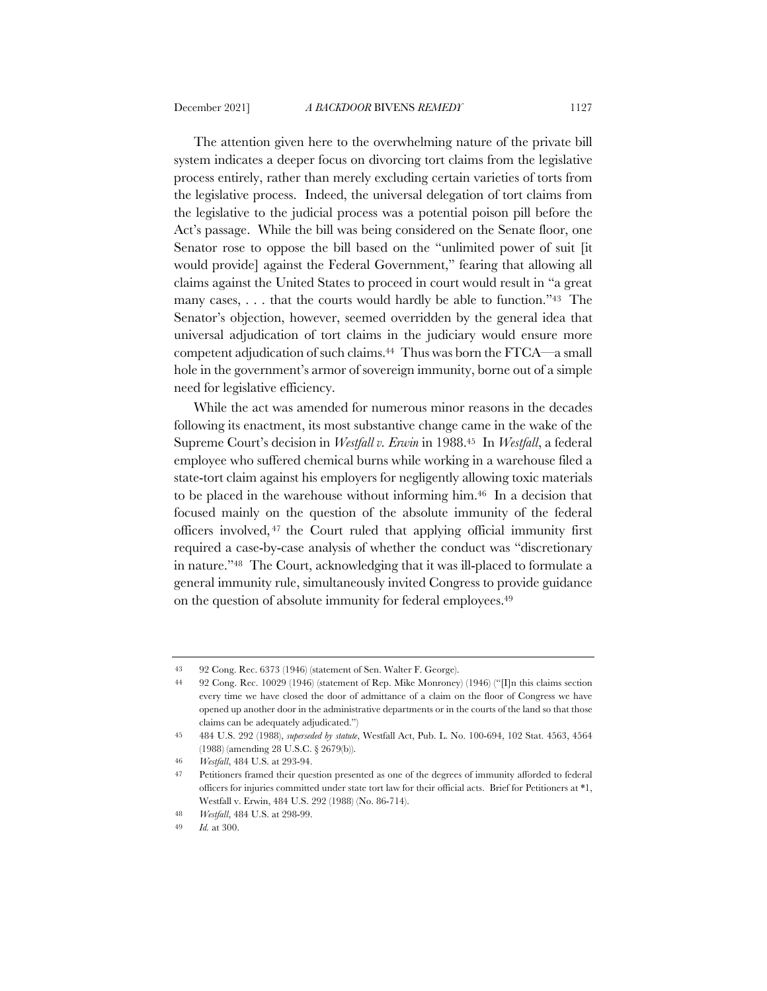The attention given here to the overwhelming nature of the private bill system indicates a deeper focus on divorcing tort claims from the legislative process entirely, rather than merely excluding certain varieties of torts from the legislative process. Indeed, the universal delegation of tort claims from the legislative to the judicial process was a potential poison pill before the Act's passage. While the bill was being considered on the Senate floor, one Senator rose to oppose the bill based on the "unlimited power of suit [it would provide] against the Federal Government," fearing that allowing all claims against the United States to proceed in court would result in "a great many cases, . . . that the courts would hardly be able to function."43 The Senator's objection, however, seemed overridden by the general idea that universal adjudication of tort claims in the judiciary would ensure more competent adjudication of such claims.44 Thus was born the FTCA—a small hole in the government's armor of sovereign immunity, borne out of a simple need for legislative efficiency.

While the act was amended for numerous minor reasons in the decades following its enactment, its most substantive change came in the wake of the Supreme Court's decision in *Westfall v. Erwin* in 1988.45 In *Westfall*, a federal employee who suffered chemical burns while working in a warehouse filed a state-tort claim against his employers for negligently allowing toxic materials to be placed in the warehouse without informing him.46 In a decision that focused mainly on the question of the absolute immunity of the federal officers involved, <sup>47</sup> the Court ruled that applying official immunity first required a case-by-case analysis of whether the conduct was "discretionary in nature."48 The Court, acknowledging that it was ill-placed to formulate a general immunity rule, simultaneously invited Congress to provide guidance on the question of absolute immunity for federal employees.49

<sup>43</sup> 92 Cong. Rec. 6373 (1946) (statement of Sen. Walter F. George).

<sup>44</sup> 92 Cong. Rec. 10029 (1946) (statement of Rep. Mike Monroney) (1946) ("[I]n this claims section every time we have closed the door of admittance of a claim on the floor of Congress we have opened up another door in the administrative departments or in the courts of the land so that those claims can be adequately adjudicated.")

<sup>45</sup> 484 U.S. 292 (1988), *superseded by statute*, Westfall Act, Pub. L. No. 100-694, 102 Stat. 4563, 4564 (1988) (amending 28 U.S.C. § 2679(b)).

<sup>46</sup> *Westfall*, 484 U.S. at 293-94.

<sup>47</sup> Petitioners framed their question presented as one of the degrees of immunity afforded to federal officers for injuries committed under state tort law for their official acts. Brief for Petitioners at \*1, Westfall v. Erwin, 484 U.S. 292 (1988) (No. 86-714).

<sup>48</sup> *Westfall*, 484 U.S. at 298-99.

<sup>49</sup> *Id.* at 300.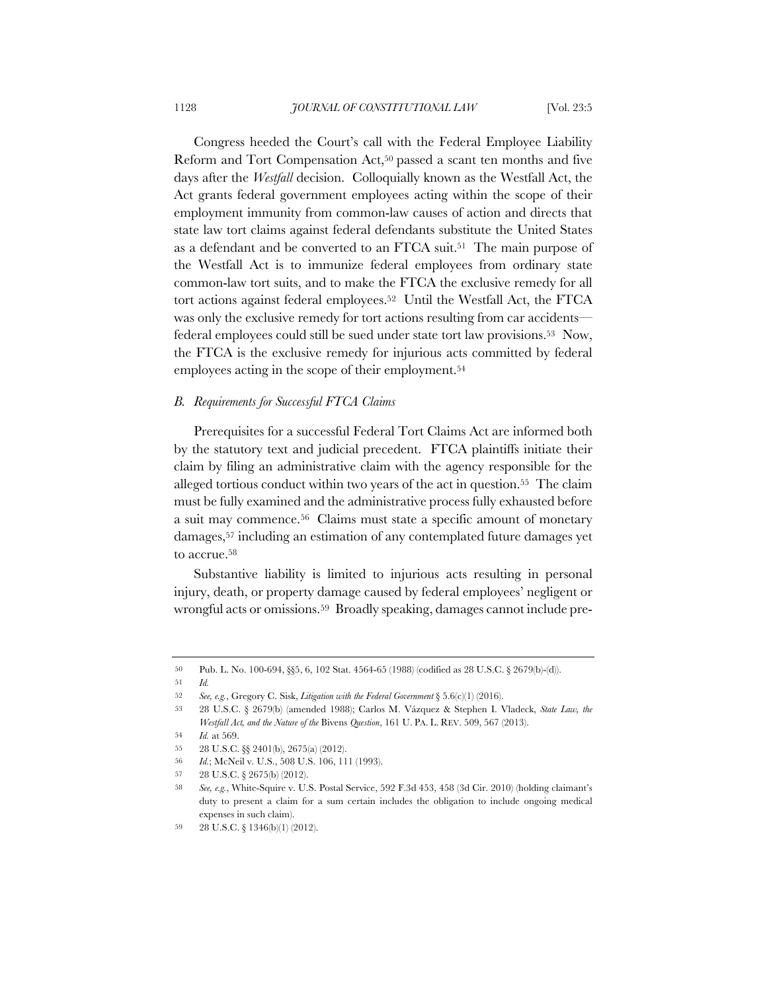Congress heeded the Court's call with the Federal Employee Liability Reform and Tort Compensation Act,50 passed a scant ten months and five days after the *Westfall* decision. Colloquially known as the Westfall Act, the Act grants federal government employees acting within the scope of their employment immunity from common-law causes of action and directs that state law tort claims against federal defendants substitute the United States as a defendant and be converted to an FTCA suit.51 The main purpose of the Westfall Act is to immunize federal employees from ordinary state common-law tort suits, and to make the FTCA the exclusive remedy for all tort actions against federal employees.52 Until the Westfall Act, the FTCA was only the exclusive remedy for tort actions resulting from car accidents federal employees could still be sued under state tort law provisions.53 Now, the FTCA is the exclusive remedy for injurious acts committed by federal employees acting in the scope of their employment.54

#### *B. Requirements for Successful FTCA Claims*

Prerequisites for a successful Federal Tort Claims Act are informed both by the statutory text and judicial precedent. FTCA plaintiffs initiate their claim by filing an administrative claim with the agency responsible for the alleged tortious conduct within two years of the act in question.55 The claim must be fully examined and the administrative process fully exhausted before a suit may commence.56 Claims must state a specific amount of monetary damages,57 including an estimation of any contemplated future damages yet to accrue.58

Substantive liability is limited to injurious acts resulting in personal injury, death, or property damage caused by federal employees' negligent or wrongful acts or omissions.59 Broadly speaking, damages cannot include pre-

51 *Id.*

<sup>50</sup> Pub. L. No. 100-694, §§5, 6, 102 Stat. 4564-65 (1988) (codified as 28 U.S.C. § 2679(b)-(d)).

<sup>52</sup> *See, e.g.*, Gregory C. Sisk, *Litigation with the Federal Government* § 5.6(c)(1) (2016).

<sup>53</sup> 28 U.S.C. § 2679(b) (amended 1988); Carlos M. Vázquez & Stephen I. Vladeck, *State Law, the Westfall Act, and the Nature of the* Bivens *Question*, 161 U. PA. L. REV. 509, 567 (2013).

<sup>54</sup> *Id.* at 569.

<sup>55</sup> 28 U.S.C. §§ 2401(b), 2675(a) (2012).

<sup>56</sup> *Id.*; McNeil v. U.S., 508 U.S. 106, 111 (1993).

<sup>57</sup> 28 U.S.C. § 2675(b) (2012).

<sup>58</sup> *See, e.g.*, White-Squire v. U.S. Postal Service, 592 F.3d 453, 458 (3d Cir. 2010) (holding claimant's duty to present a claim for a sum certain includes the obligation to include ongoing medical expenses in such claim).

<sup>59</sup> 28 U.S.C. § 1346(b)(1) (2012).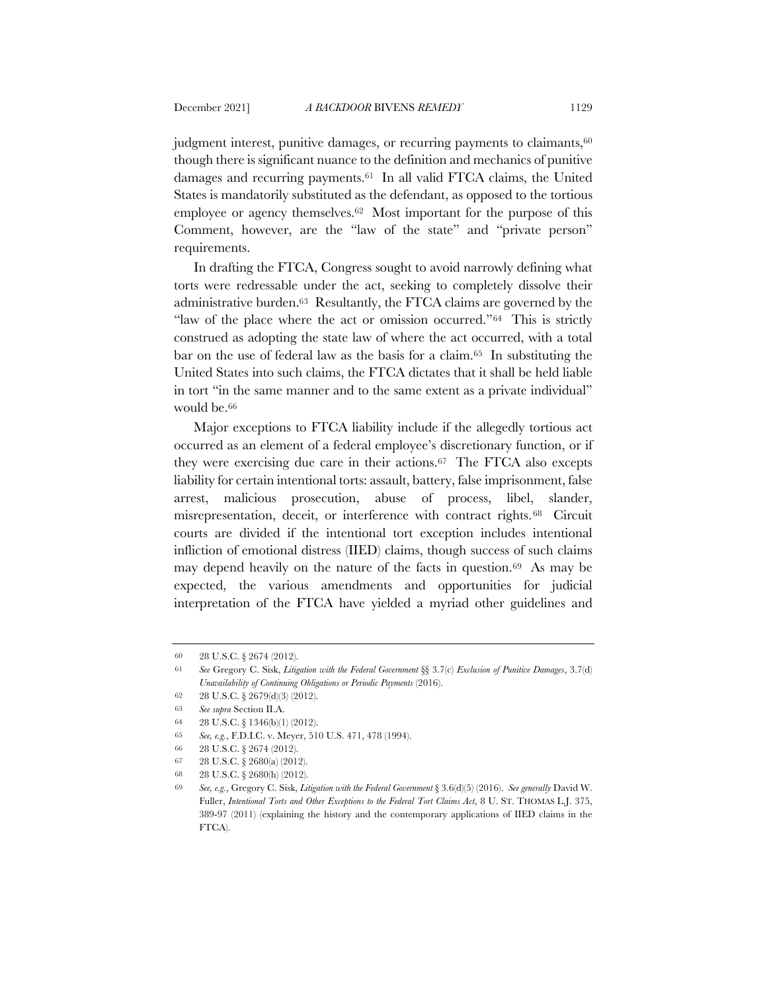judgment interest, punitive damages, or recurring payments to claimants,<sup>60</sup> though there is significant nuance to the definition and mechanics of punitive damages and recurring payments.61 In all valid FTCA claims, the United States is mandatorily substituted as the defendant, as opposed to the tortious employee or agency themselves.62 Most important for the purpose of this Comment, however, are the "law of the state" and "private person" requirements.

In drafting the FTCA, Congress sought to avoid narrowly defining what torts were redressable under the act, seeking to completely dissolve their administrative burden.63 Resultantly, the FTCA claims are governed by the "law of the place where the act or omission occurred."64 This is strictly construed as adopting the state law of where the act occurred, with a total bar on the use of federal law as the basis for a claim.65 In substituting the United States into such claims, the FTCA dictates that it shall be held liable in tort "in the same manner and to the same extent as a private individual" would be.66

Major exceptions to FTCA liability include if the allegedly tortious act occurred as an element of a federal employee's discretionary function, or if they were exercising due care in their actions.67 The FTCA also excepts liability for certain intentional torts: assault, battery, false imprisonment, false arrest, malicious prosecution, abuse of process, libel, slander, misrepresentation, deceit, or interference with contract rights. <sup>68</sup> Circuit courts are divided if the intentional tort exception includes intentional infliction of emotional distress (IIED) claims, though success of such claims may depend heavily on the nature of the facts in question.69 As may be expected, the various amendments and opportunities for judicial interpretation of the FTCA have yielded a myriad other guidelines and

<sup>60</sup> 28 U.S.C. § 2674 (2012).

<sup>61</sup> *See* Gregory C. Sisk, *Litigation with the Federal Government* §§ 3.7(c) *Exclusion of Punitive Damages*, 3.7(d) *Unavailability of Continuing Obligations or Periodic Payments* (2016).

<sup>62</sup> 28 U.S.C. § 2679(d)(3) (2012).

<sup>63</sup> *See supra* Section II.A.

<sup>64</sup> 28 U.S.C. § 1346(b)(1) (2012).

<sup>65</sup> *See, e.g.*, F.D.I.C. v. Meyer, 510 U.S. 471, 478 (1994).

<sup>66</sup> 28 U.S.C. § 2674 (2012).

<sup>67</sup> 28 U.S.C. § 2680(a) (2012).

<sup>68</sup> 28 U.S.C. § 2680(h) (2012).

<sup>69</sup> *See, e.g.*, Gregory C. Sisk, *Litigation with the Federal Government* § 3.6(d)(5) (2016). *See generally* David W. Fuller, *Intentional Torts and Other Exceptions to the Federal Tort Claims Act*, 8 U. ST. THOMAS L.J. 375, 389-97 (2011) (explaining the history and the contemporary applications of IIED claims in the FTCA).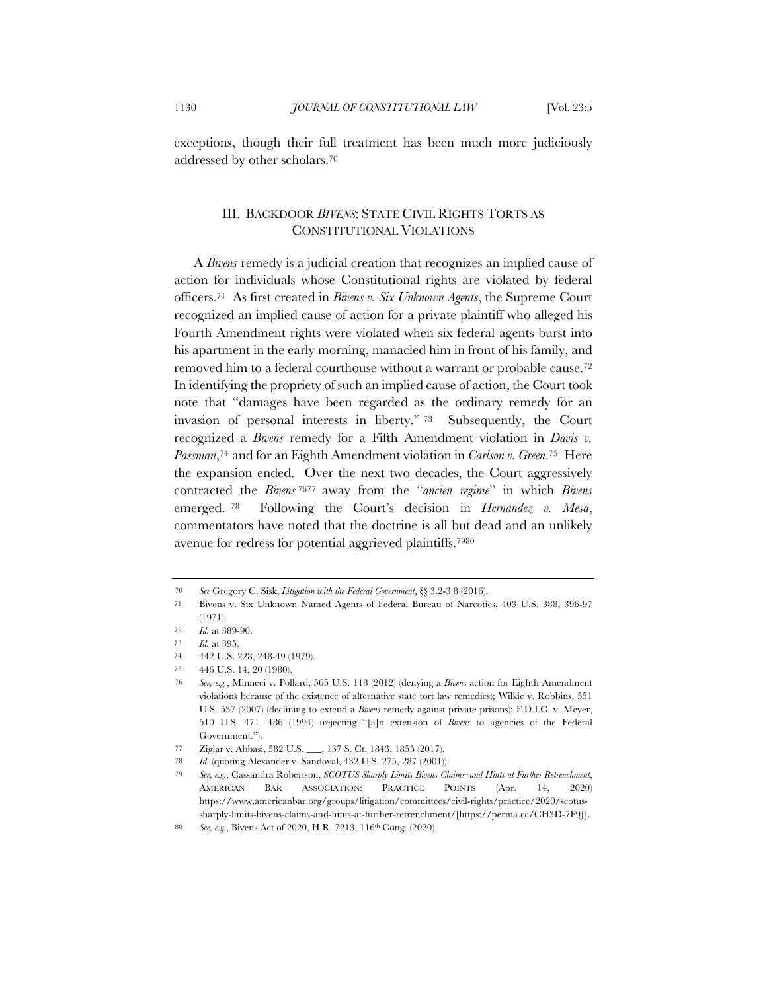exceptions, though their full treatment has been much more judiciously addressed by other scholars.70

# III. BACKDOOR *BIVENS*: STATE CIVIL RIGHTS TORTS AS CONSTITUTIONAL VIOLATIONS

A *Bivens* remedy is a judicial creation that recognizes an implied cause of action for individuals whose Constitutional rights are violated by federal officers.71 As first created in *Bivens v. Six Unknown Agents*, the Supreme Court recognized an implied cause of action for a private plaintiff who alleged his Fourth Amendment rights were violated when six federal agents burst into his apartment in the early morning, manacled him in front of his family, and removed him to a federal courthouse without a warrant or probable cause.72 In identifying the propriety of such an implied cause of action, the Court took note that "damages have been regarded as the ordinary remedy for an invasion of personal interests in liberty." <sup>73</sup> Subsequently, the Court recognized a *Bivens* remedy for a Fifth Amendment violation in *Davis v. Passman*,74 and for an Eighth Amendment violation in *Carlson v. Green*.75 Here the expansion ended. Over the next two decades, the Court aggressively contracted the *Bivens* <sup>7677</sup> away from the "*ancien regime*" in which *Bivens* emerged. <sup>78</sup> Following the Court's decision in *Hernandez v. Mesa*, commentators have noted that the doctrine is all but dead and an unlikely avenue for redress for potential aggrieved plaintiffs.7980

<sup>70</sup> *See* Gregory C. Sisk, *Litigation with the Federal Government*, §§ 3.2-3.8 (2016).

<sup>71</sup> Bivens v. Six Unknown Named Agents of Federal Bureau of Narcotics, 403 U.S. 388, 396-97 (1971).

<sup>72</sup> *Id.* at 389-90.

<sup>73</sup> *Id.* at 395.

<sup>74</sup> 442 U.S. 228, 248-49 (1979).

<sup>75</sup> 446 U.S. 14, 20 (1980).

<sup>76</sup> *See, e.g.*, Minneci v. Pollard, 565 U.S. 118 (2012) (denying a *Bivens* action for Eighth Amendment violations because of the existence of alternative state tort law remedies); Wilkie v. Robbins, 551 U.S. 537 (2007) (declining to extend a *Bivens* remedy against private prisons); F.D.I.C. v. Meyer, 510 U.S. 471, 486 (1994) (rejecting "[a]n extension of *Bivens* to agencies of the Federal Government.").

<sup>77</sup> Ziglar v. Abbasi, 582 U.S. \_\_\_, 137 S. Ct. 1843, 1855 (2017).

<sup>78</sup> *Id.* (quoting Alexander v. Sandoval, 432 U.S. 275, 287 (2001)).

<sup>79</sup> *See, e.g.*, Cassandra Robertson, *SCOTUS Sharply Limits Bivens Claims–and Hints at Further Retrenchment*, AMERICAN BAR ASSOCIATION: PRACTICE POINTS (Apr. 14, 2020) https://www.americanbar.org/groups/litigation/committees/civil-rights/practice/2020/scotussharply-limits-bivens-claims-and-hints-at-further-retrenchment/[https://perma.cc/CH3D-7F9J].

<sup>80</sup> *See, e.g.*, Bivens Act of 2020, H.R. 7213, 116th Cong. (2020).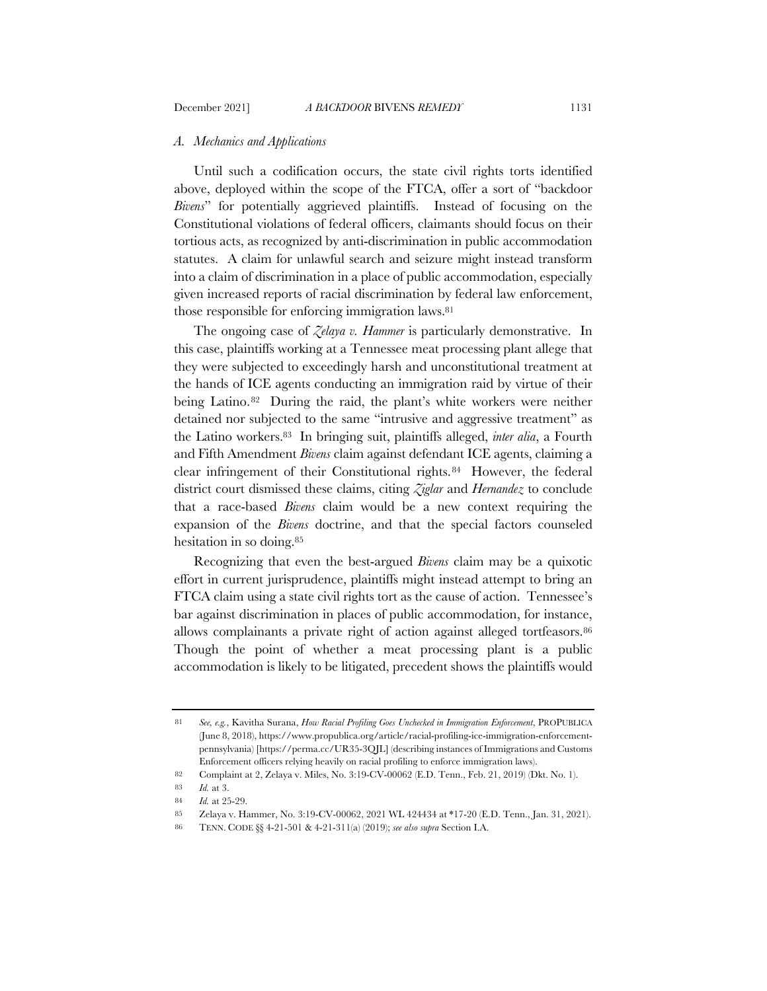#### *A. Mechanics and Applications*

Until such a codification occurs, the state civil rights torts identified above, deployed within the scope of the FTCA, offer a sort of "backdoor *Bivens*" for potentially aggrieved plaintiffs. Instead of focusing on the Constitutional violations of federal officers, claimants should focus on their tortious acts, as recognized by anti-discrimination in public accommodation statutes. A claim for unlawful search and seizure might instead transform into a claim of discrimination in a place of public accommodation, especially given increased reports of racial discrimination by federal law enforcement, those responsible for enforcing immigration laws.81

The ongoing case of *Zelaya v. Hammer* is particularly demonstrative. In this case, plaintiffs working at a Tennessee meat processing plant allege that they were subjected to exceedingly harsh and unconstitutional treatment at the hands of ICE agents conducting an immigration raid by virtue of their being Latino.<sup>82</sup> During the raid, the plant's white workers were neither detained nor subjected to the same "intrusive and aggressive treatment" as the Latino workers.83 In bringing suit, plaintiffs alleged, *inter alia*, a Fourth and Fifth Amendment *Bivens* claim against defendant ICE agents, claiming a clear infringement of their Constitutional rights.84 However, the federal district court dismissed these claims, citing *Ziglar* and *Hernandez* to conclude that a race-based *Bivens* claim would be a new context requiring the expansion of the *Bivens* doctrine, and that the special factors counseled hesitation in so doing.85

Recognizing that even the best-argued *Bivens* claim may be a quixotic effort in current jurisprudence, plaintiffs might instead attempt to bring an FTCA claim using a state civil rights tort as the cause of action. Tennessee's bar against discrimination in places of public accommodation, for instance, allows complainants a private right of action against alleged tortfeasors.<sup>86</sup> Though the point of whether a meat processing plant is a public accommodation is likely to be litigated, precedent shows the plaintiffs would

<sup>81</sup> *See, e.g.*, Kavitha Surana, *How Racial Profiling Goes Unchecked in Immigration Enforcement*, PROPUBLICA (June 8, 2018), https://www.propublica.org/article/racial-profiling-ice-immigration-enforcementpennsylvania) [https://perma.cc/UR35-3QJL] (describing instances of Immigrations and Customs Enforcement officers relying heavily on racial profiling to enforce immigration laws).

<sup>82</sup> Complaint at 2, Zelaya v. Miles, No. 3:19-CV-00062 (E.D. Tenn., Feb. 21, 2019) (Dkt. No. 1).

<sup>83</sup> *Id.* at 3.

<sup>84</sup> *Id.* at 25-29.

<sup>85</sup> Zelaya v. Hammer, No. 3:19-CV-00062, 2021 WL 424434 at \*17-20 (E.D. Tenn., Jan. 31, 2021).

<sup>86</sup> TENN. CODE §§ 4-21-501 & 4-21-311(a) (2019); *see also supra* Section I.A.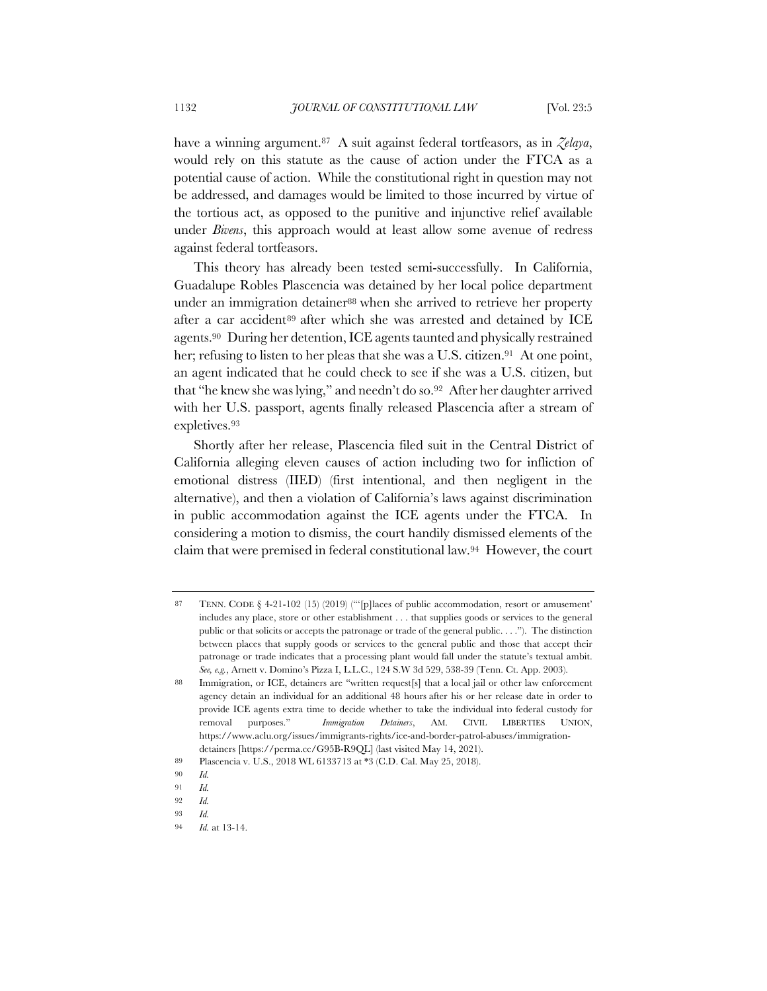have a winning argument.87 A suit against federal tortfeasors, as in *Zelaya*, would rely on this statute as the cause of action under the FTCA as a potential cause of action. While the constitutional right in question may not be addressed, and damages would be limited to those incurred by virtue of the tortious act, as opposed to the punitive and injunctive relief available under *Bivens*, this approach would at least allow some avenue of redress against federal tortfeasors.

This theory has already been tested semi-successfully. In California, Guadalupe Robles Plascencia was detained by her local police department under an immigration detainer<sup>88</sup> when she arrived to retrieve her property after a car accident<sup>89</sup> after which she was arrested and detained by ICE agents.90 During her detention, ICE agents taunted and physically restrained her; refusing to listen to her pleas that she was a U.S. citizen.<sup>91</sup> At one point, an agent indicated that he could check to see if she was a U.S. citizen, but that "he knew she was lying," and needn't do so.92 After her daughter arrived with her U.S. passport, agents finally released Plascencia after a stream of expletives.93

Shortly after her release, Plascencia filed suit in the Central District of California alleging eleven causes of action including two for infliction of emotional distress (IIED) (first intentional, and then negligent in the alternative), and then a violation of California's laws against discrimination in public accommodation against the ICE agents under the FTCA. In considering a motion to dismiss, the court handily dismissed elements of the claim that were premised in federal constitutional law.94 However, the court

<sup>87</sup> TENN. CODE § 4-21-102 (15) (2019) ("'[p]laces of public accommodation, resort or amusement' includes any place, store or other establishment . . . that supplies goods or services to the general public or that solicits or accepts the patronage or trade of the general public. . . ."). The distinction between places that supply goods or services to the general public and those that accept their patronage or trade indicates that a processing plant would fall under the statute's textual ambit. *See, e.g.*, Arnett v. Domino's Pizza I, L.L.C., 124 S.W 3d 529, 538-39 (Tenn. Ct. App. 2003).

<sup>88</sup> Immigration, or ICE, detainers are "written request[s] that a local jail or other law enforcement agency detain an individual for an additional 48 hours after his or her release date in order to provide ICE agents extra time to decide whether to take the individual into federal custody for removal purposes." *Immigration Detainers*, AM. CIVIL LIBERTIES UNION, https://www.aclu.org/issues/immigrants-rights/ice-and-border-patrol-abuses/immigrationdetainers [https://perma.cc/G95B-R9QL] (last visited May 14, 2021).

<sup>89</sup> Plascencia v. U.S., 2018 WL 6133713 at \*3 (C.D. Cal. May 25, 2018).

<sup>90</sup> *Id.*

<sup>91</sup> *Id.*

<sup>92</sup> *Id.*

<sup>93</sup> *Id.*

<sup>94</sup> *Id.* at 13-14.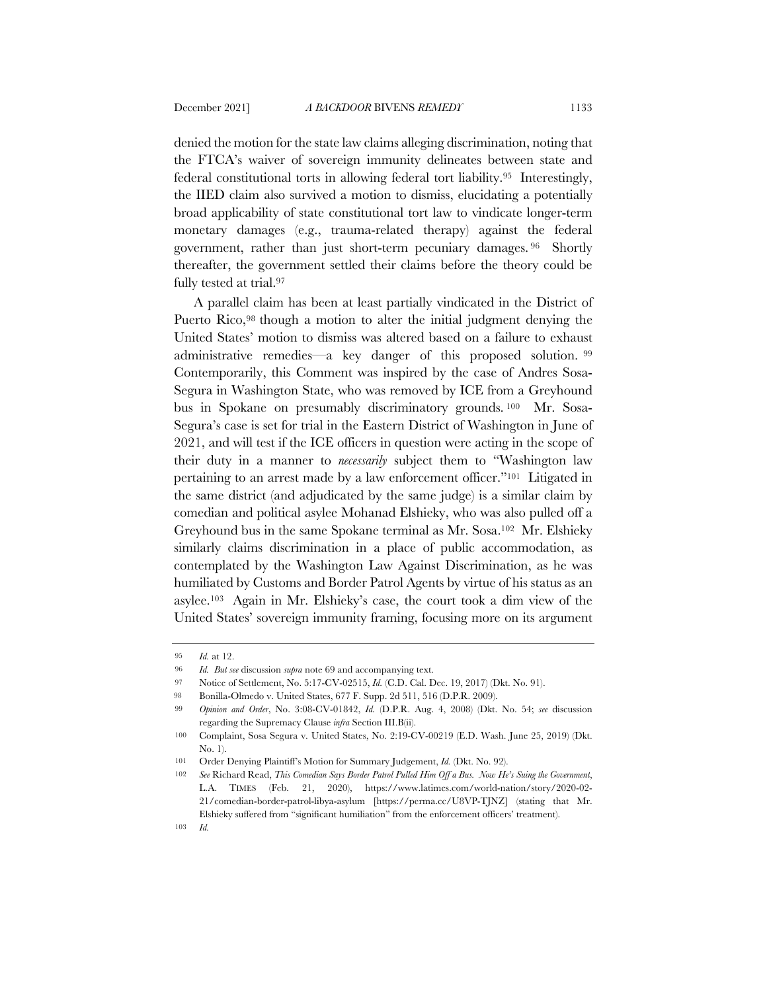denied the motion for the state law claims alleging discrimination, noting that the FTCA's waiver of sovereign immunity delineates between state and federal constitutional torts in allowing federal tort liability.95 Interestingly, the IIED claim also survived a motion to dismiss, elucidating a potentially broad applicability of state constitutional tort law to vindicate longer-term monetary damages (e.g., trauma-related therapy) against the federal government, rather than just short-term pecuniary damages. <sup>96</sup> Shortly thereafter, the government settled their claims before the theory could be fully tested at trial.97

A parallel claim has been at least partially vindicated in the District of Puerto Rico,<sup>98</sup> though a motion to alter the initial judgment denying the United States' motion to dismiss was altered based on a failure to exhaust administrative remedies—a key danger of this proposed solution. <sup>99</sup> Contemporarily, this Comment was inspired by the case of Andres Sosa-Segura in Washington State, who was removed by ICE from a Greyhound bus in Spokane on presumably discriminatory grounds. <sup>100</sup> Mr. Sosa-Segura's case is set for trial in the Eastern District of Washington in June of 2021, and will test if the ICE officers in question were acting in the scope of their duty in a manner to *necessarily* subject them to "Washington law pertaining to an arrest made by a law enforcement officer."101 Litigated in the same district (and adjudicated by the same judge) is a similar claim by comedian and political asylee Mohanad Elshieky, who was also pulled off a Greyhound bus in the same Spokane terminal as Mr. Sosa.102 Mr. Elshieky similarly claims discrimination in a place of public accommodation, as contemplated by the Washington Law Against Discrimination, as he was humiliated by Customs and Border Patrol Agents by virtue of his status as an asylee.103 Again in Mr. Elshieky's case, the court took a dim view of the United States' sovereign immunity framing, focusing more on its argument

<sup>95</sup> *Id.* at 12.

<sup>96</sup> *Id. But see* discussion *supra* note 69 and accompanying text.

<sup>97</sup> Notice of Settlement, No. 5:17-CV-02515, *Id.* (C.D. Cal. Dec. 19, 2017) (Dkt. No. 91).

<sup>98</sup> Bonilla-Olmedo v. United States, 677 F. Supp. 2d 511, 516 (D.P.R. 2009).

<sup>99</sup> *Opinion and Order*, No. 3:08-CV-01842, *Id.* (D.P.R. Aug. 4, 2008) (Dkt. No. 54; *see* discussion regarding the Supremacy Clause *infra* Section III.B(ii).

<sup>100</sup> Complaint, Sosa Segura v. United States, No. 2:19-CV-00219 (E.D. Wash. June 25, 2019) (Dkt. No. 1).

<sup>101</sup> Order Denying Plaintiff's Motion for Summary Judgement, *Id.* (Dkt. No. 92).

<sup>102</sup> *See* Richard Read, *This Comedian Says Border Patrol Pulled Him Off a Bus. Now He's Suing the Government*, L.A. TIMES (Feb. 21, 2020), https://www.latimes.com/world-nation/story/2020-02- 21/comedian-border-patrol-libya-asylum [https://perma.cc/U8VP-TJNZ] (stating that Mr. Elshieky suffered from "significant humiliation" from the enforcement officers' treatment).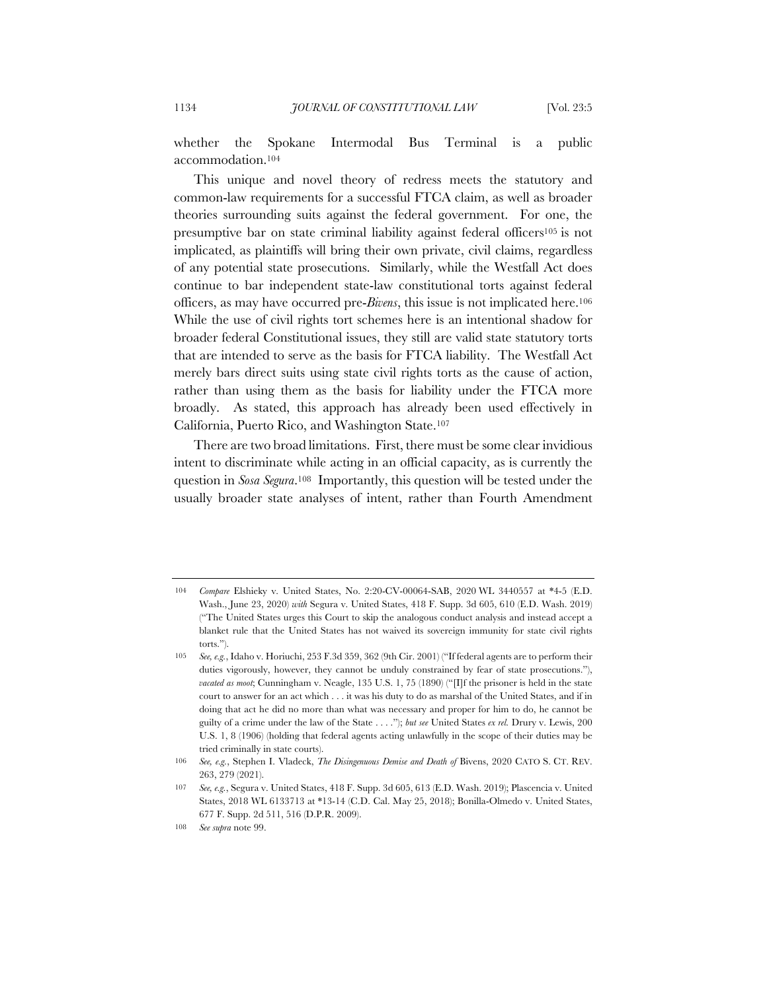whether the Spokane Intermodal Bus Terminal is a public accommodation.104

This unique and novel theory of redress meets the statutory and common-law requirements for a successful FTCA claim, as well as broader theories surrounding suits against the federal government. For one, the presumptive bar on state criminal liability against federal officers105 is not implicated, as plaintiffs will bring their own private, civil claims, regardless of any potential state prosecutions. Similarly, while the Westfall Act does continue to bar independent state-law constitutional torts against federal officers, as may have occurred pre-*Bivens*, this issue is not implicated here.106 While the use of civil rights tort schemes here is an intentional shadow for broader federal Constitutional issues, they still are valid state statutory torts that are intended to serve as the basis for FTCA liability. The Westfall Act merely bars direct suits using state civil rights torts as the cause of action, rather than using them as the basis for liability under the FTCA more broadly. As stated, this approach has already been used effectively in California, Puerto Rico, and Washington State.107

There are two broad limitations. First, there must be some clear invidious intent to discriminate while acting in an official capacity, as is currently the question in *Sosa Segura*.108 Importantly, this question will be tested under the usually broader state analyses of intent, rather than Fourth Amendment

<sup>104</sup> *Compare* Elshieky v. United States, No. 2:20-CV-00064-SAB, 2020 WL 3440557 at \*4-5 (E.D. Wash., June 23, 2020) *with* Segura v. United States, 418 F. Supp. 3d 605, 610 (E.D. Wash. 2019) ("The United States urges this Court to skip the analogous conduct analysis and instead accept a blanket rule that the United States has not waived its sovereign immunity for state civil rights torts.").

<sup>105</sup> *See, e.g.*, Idaho v. Horiuchi, 253 F.3d 359, 362 (9th Cir. 2001) ("If federal agents are to perform their duties vigorously, however, they cannot be unduly constrained by fear of state prosecutions."), *vacated as moot*; Cunningham v. Neagle, 135 U.S. 1, 75 (1890) ("[I]f the prisoner is held in the state court to answer for an act which . . . it was his duty to do as marshal of the United States, and if in doing that act he did no more than what was necessary and proper for him to do, he cannot be guilty of a crime under the law of the State . . . ."); *but see* United States *ex rel.* Drury v. Lewis, 200 U.S. 1, 8 (1906) (holding that federal agents acting unlawfully in the scope of their duties may be tried criminally in state courts).

<sup>106</sup> *See, e.g.*, Stephen I. Vladeck, *The Disingenuous Demise and Death of* Bivens, 2020 CATO S. CT. REV. 263, 279 (2021).

<sup>107</sup> *See, e.g.*, Segura v. United States, 418 F. Supp. 3d 605, 613 (E.D. Wash. 2019); Plascencia v. United States, 2018 WL 6133713 at \*13-14 (C.D. Cal. May 25, 2018); Bonilla-Olmedo v. United States, 677 F. Supp. 2d 511, 516 (D.P.R. 2009).

<sup>108</sup> *See supra* note 99.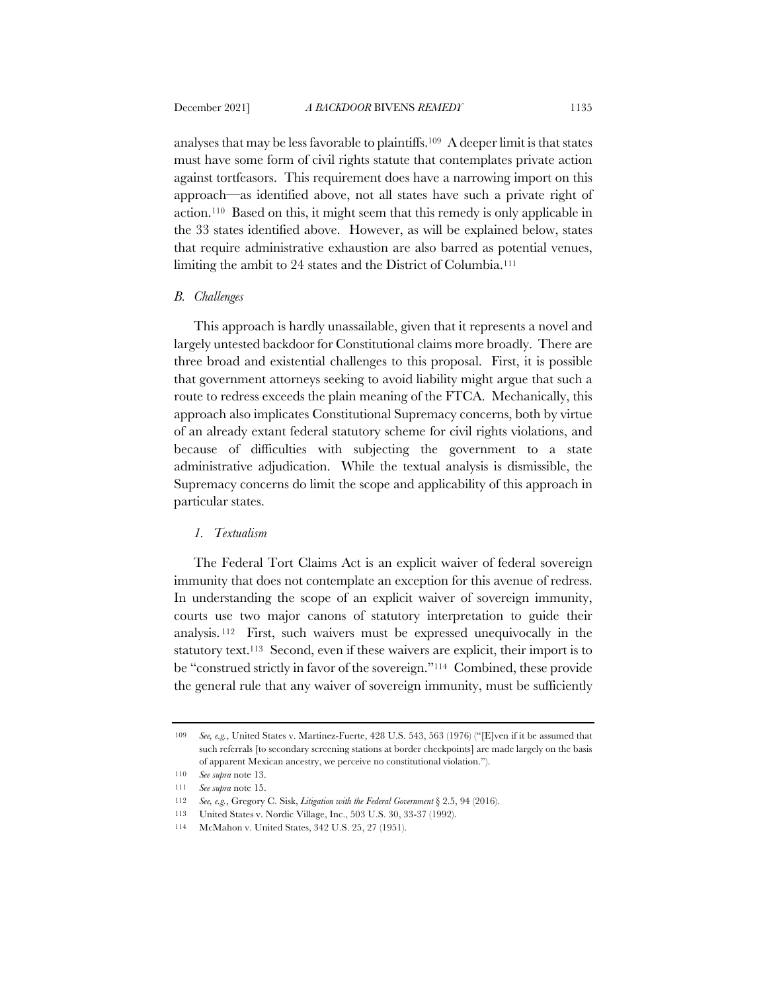analyses that may be less favorable to plaintiffs.109 A deeper limit is that states must have some form of civil rights statute that contemplates private action against tortfeasors. This requirement does have a narrowing import on this approach—as identified above, not all states have such a private right of action.110 Based on this, it might seem that this remedy is only applicable in the 33 states identified above. However, as will be explained below, states that require administrative exhaustion are also barred as potential venues, limiting the ambit to 24 states and the District of Columbia.111

#### *B. Challenges*

This approach is hardly unassailable, given that it represents a novel and largely untested backdoor for Constitutional claims more broadly. There are three broad and existential challenges to this proposal. First, it is possible that government attorneys seeking to avoid liability might argue that such a route to redress exceeds the plain meaning of the FTCA. Mechanically, this approach also implicates Constitutional Supremacy concerns, both by virtue of an already extant federal statutory scheme for civil rights violations, and because of difficulties with subjecting the government to a state administrative adjudication. While the textual analysis is dismissible, the Supremacy concerns do limit the scope and applicability of this approach in particular states.

## *1. Textualism*

The Federal Tort Claims Act is an explicit waiver of federal sovereign immunity that does not contemplate an exception for this avenue of redress. In understanding the scope of an explicit waiver of sovereign immunity, courts use two major canons of statutory interpretation to guide their analysis. <sup>112</sup> First, such waivers must be expressed unequivocally in the statutory text.113 Second, even if these waivers are explicit, their import is to be "construed strictly in favor of the sovereign."114 Combined, these provide the general rule that any waiver of sovereign immunity, must be sufficiently

<sup>109</sup> *See, e.g.*, United States v. Martinez-Fuerte, 428 U.S. 543, 563 (1976) ("[E]ven if it be assumed that such referrals [to secondary screening stations at border checkpoints] are made largely on the basis of apparent Mexican ancestry, we perceive no constitutional violation.").

<sup>110</sup> *See supra* note 13.

<sup>111</sup> *See supra* note 15.

<sup>112</sup> *See, e.g.*, Gregory C. Sisk, *Litigation with the Federal Government* § 2.5, 94 (2016).

<sup>113</sup> United States v. Nordic Village, Inc., 503 U.S. 30, 33-37 (1992).

<sup>114</sup> McMahon v. United States, 342 U.S. 25, 27 (1951).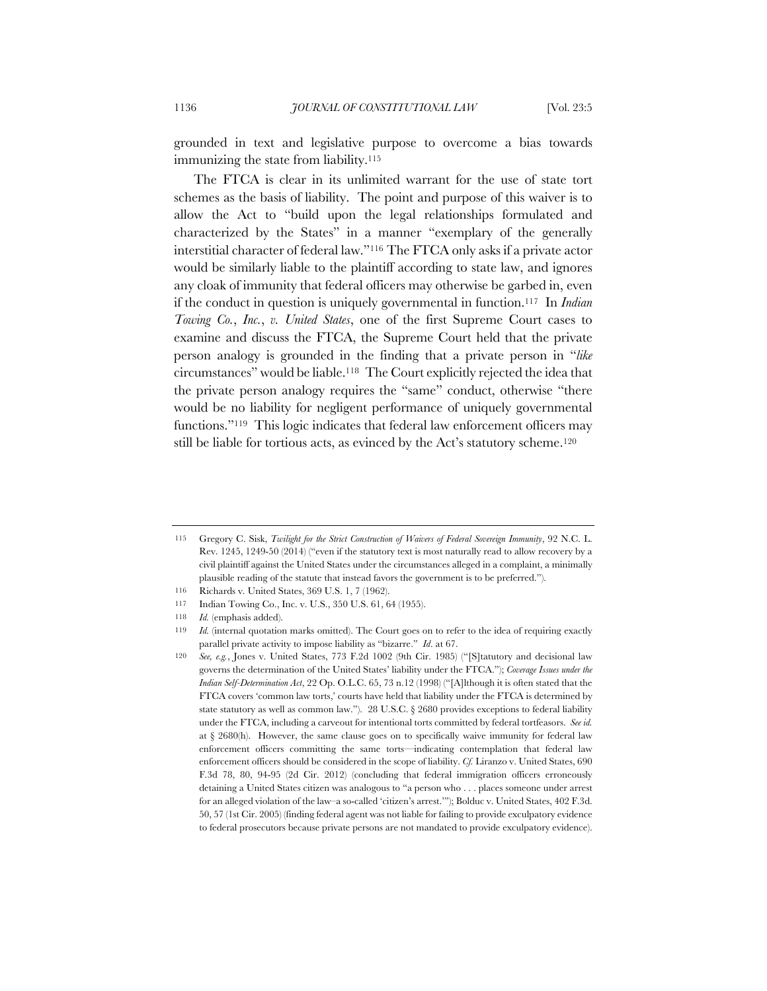grounded in text and legislative purpose to overcome a bias towards immunizing the state from liability.<sup>115</sup>

The FTCA is clear in its unlimited warrant for the use of state tort schemes as the basis of liability. The point and purpose of this waiver is to allow the Act to "build upon the legal relationships formulated and characterized by the States" in a manner "exemplary of the generally interstitial character of federal law."116 The FTCA only asks if a private actor would be similarly liable to the plaintiff according to state law, and ignores any cloak of immunity that federal officers may otherwise be garbed in, even if the conduct in question is uniquely governmental in function.117 In *Indian Towing Co.*, *Inc.*, *v. United States*, one of the first Supreme Court cases to examine and discuss the FTCA, the Supreme Court held that the private person analogy is grounded in the finding that a private person in "*like* circumstances" would be liable.118 The Court explicitly rejected the idea that the private person analogy requires the "same" conduct, otherwise "there would be no liability for negligent performance of uniquely governmental functions."<sup>119</sup> This logic indicates that federal law enforcement officers may still be liable for tortious acts, as evinced by the Act's statutory scheme.120

<sup>115</sup> Gregory C. Sisk, *Twilight for the Strict Construction of Waivers of Federal Sovereign Immunity*, 92 N.C. L. Rev. 1245, 1249-50 (2014) ("even if the statutory text is most naturally read to allow recovery by a civil plaintiff against the United States under the circumstances alleged in a complaint, a minimally plausible reading of the statute that instead favors the government is to be preferred.").

<sup>116</sup> Richards v. United States, 369 U.S. 1, 7 (1962).

<sup>117</sup> Indian Towing Co., Inc. v. U.S., 350 U.S. 61, 64 (1955).

<sup>118</sup> *Id.* (emphasis added).

<sup>119</sup> *Id.* (internal quotation marks omitted). The Court goes on to refer to the idea of requiring exactly parallel private activity to impose liability as "bizarre." *Id*. at 67.

<sup>120</sup> *See, e.g.*, Jones v. United States, 773 F.2d 1002 (9th Cir. 1985) ("[S]tatutory and decisional law governs the determination of the United States' liability under the FTCA."); *Coverage Issues under the Indian Self-Determination Act*, 22 Op. O.L.C. 65, 73 n.12 (1998) ("[A]lthough it is often stated that the FTCA covers 'common law torts,' courts have held that liability under the FTCA is determined by state statutory as well as common law."). 28 U.S.C. § 2680 provides exceptions to federal liability under the FTCA, including a carveout for intentional torts committed by federal tortfeasors. *See id.*  at § 2680(h). However, the same clause goes on to specifically waive immunity for federal law enforcement officers committing the same torts—indicating contemplation that federal law enforcement officers should be considered in the scope of liability. *Cf.* Liranzo v. United States, 690 F.3d 78, 80, 94-95 (2d Cir. 2012) (concluding that federal immigration officers erroneously detaining a United States citizen was analogous to "a person who . . . places someone under arrest for an alleged violation of the law–a so-called 'citizen's arrest.'"); Bolduc v. United States, 402 F.3d. 50, 57 (1st Cir. 2005) (finding federal agent was not liable for failing to provide exculpatory evidence to federal prosecutors because private persons are not mandated to provide exculpatory evidence).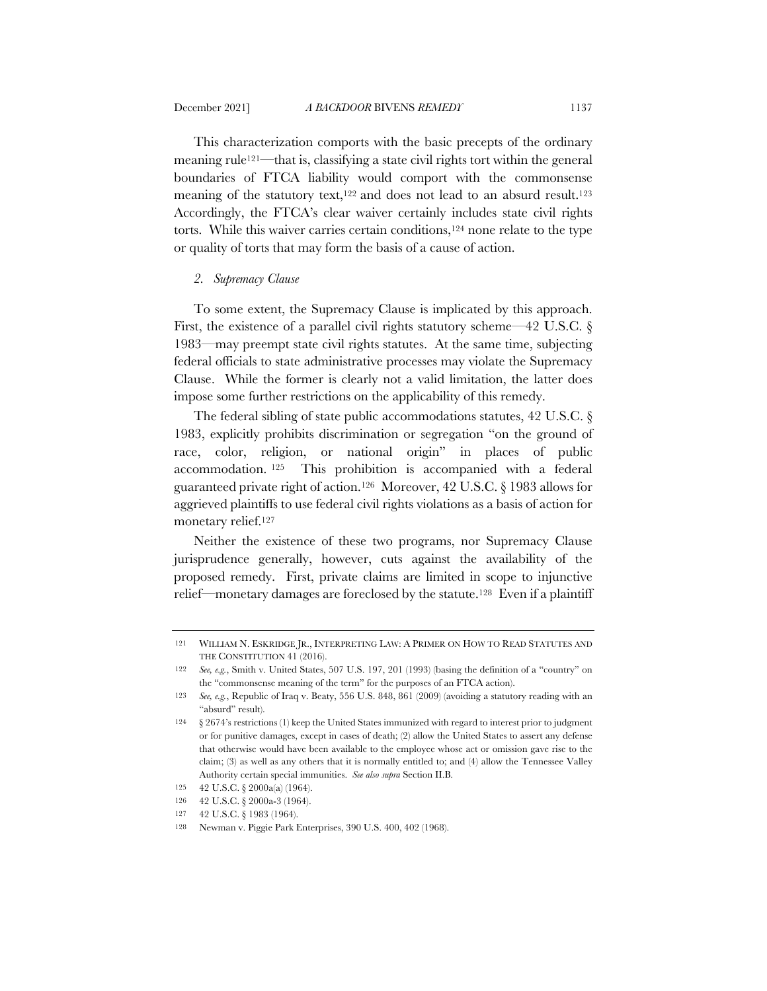This characterization comports with the basic precepts of the ordinary meaning rule121—that is, classifying a state civil rights tort within the general boundaries of FTCA liability would comport with the commonsense meaning of the statutory text,<sup>122</sup> and does not lead to an absurd result.<sup>123</sup> Accordingly, the FTCA's clear waiver certainly includes state civil rights torts. While this waiver carries certain conditions,<sup>124</sup> none relate to the type or quality of torts that may form the basis of a cause of action.

## *2. Supremacy Clause*

To some extent, the Supremacy Clause is implicated by this approach. First, the existence of a parallel civil rights statutory scheme—42 U.S.C. § 1983—may preempt state civil rights statutes. At the same time, subjecting federal officials to state administrative processes may violate the Supremacy Clause. While the former is clearly not a valid limitation, the latter does impose some further restrictions on the applicability of this remedy.

The federal sibling of state public accommodations statutes, 42 U.S.C. § 1983, explicitly prohibits discrimination or segregation "on the ground of race, color, religion, or national origin" in places of public accommodation. <sup>125</sup> This prohibition is accompanied with a federal guaranteed private right of action.126 Moreover, 42 U.S.C. § 1983 allows for aggrieved plaintiffs to use federal civil rights violations as a basis of action for monetary relief.127

Neither the existence of these two programs, nor Supremacy Clause jurisprudence generally, however, cuts against the availability of the proposed remedy. First, private claims are limited in scope to injunctive relief—monetary damages are foreclosed by the statute.128 Even if a plaintiff

<sup>121</sup> WILLIAM N. ESKRIDGE JR., INTERPRETING LAW: A PRIMER ON HOW TO READ STATUTES AND THE CONSTITUTION 41 (2016).

<sup>122</sup> *See, e.g.*, Smith v. United States, 507 U.S. 197, 201 (1993) (basing the definition of a "country" on the "commonsense meaning of the term" for the purposes of an FTCA action).

<sup>123</sup> *See, e.g.*, Republic of Iraq v. Beaty, 556 U.S. 848, 861 (2009) (avoiding a statutory reading with an "absurd" result).

<sup>124</sup> § 2674's restrictions (1) keep the United States immunized with regard to interest prior to judgment or for punitive damages, except in cases of death; (2) allow the United States to assert any defense that otherwise would have been available to the employee whose act or omission gave rise to the claim; (3) as well as any others that it is normally entitled to; and (4) allow the Tennessee Valley Authority certain special immunities. *See also supra* Section II.B*.*

<sup>125</sup> 42 U.S.C. § 2000a(a) (1964).

<sup>126</sup> 42 U.S.C. § 2000a-3 (1964).

<sup>127</sup> 42 U.S.C. § 1983 (1964).

<sup>128</sup> Newman v. Piggie Park Enterprises, 390 U.S. 400, 402 (1968).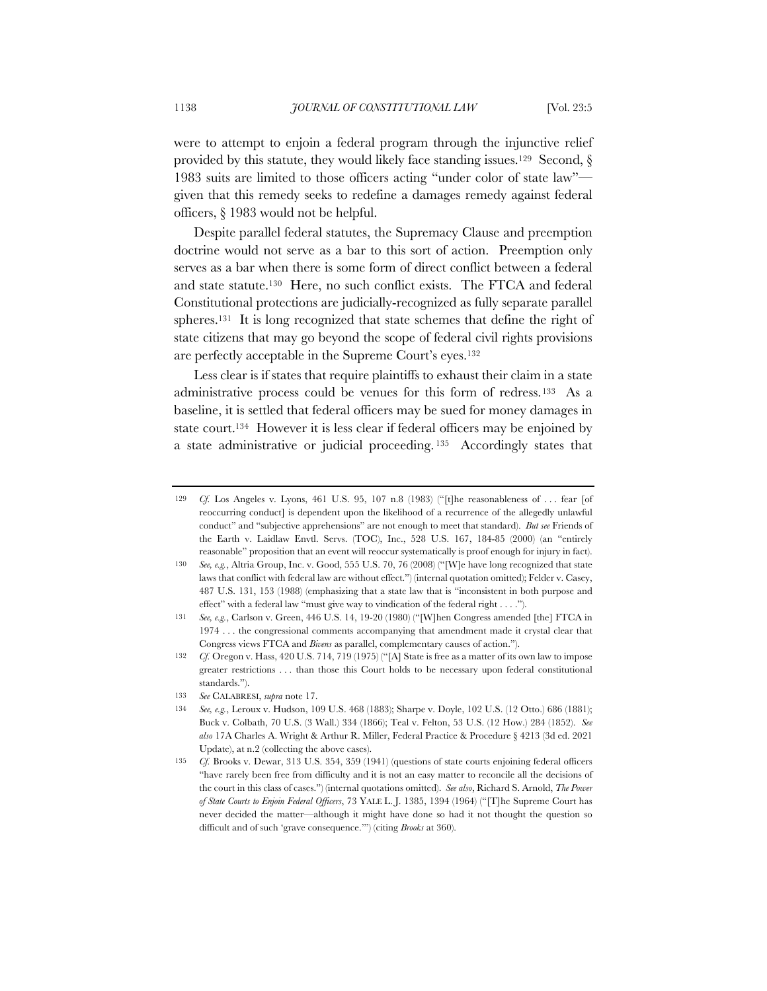were to attempt to enjoin a federal program through the injunctive relief provided by this statute, they would likely face standing issues.<sup>129</sup> Second,  $\S$ 1983 suits are limited to those officers acting "under color of state law" given that this remedy seeks to redefine a damages remedy against federal officers, § 1983 would not be helpful.

Despite parallel federal statutes, the Supremacy Clause and preemption doctrine would not serve as a bar to this sort of action. Preemption only serves as a bar when there is some form of direct conflict between a federal and state statute.130 Here, no such conflict exists. The FTCA and federal Constitutional protections are judicially-recognized as fully separate parallel spheres.131 It is long recognized that state schemes that define the right of state citizens that may go beyond the scope of federal civil rights provisions are perfectly acceptable in the Supreme Court's eyes.132

Less clear is if states that require plaintiffs to exhaust their claim in a state administrative process could be venues for this form of redress.133 As a baseline, it is settled that federal officers may be sued for money damages in state court.134 However it is less clear if federal officers may be enjoined by a state administrative or judicial proceeding. <sup>135</sup> Accordingly states that

<sup>129</sup> *Cf.* Los Angeles v. Lyons, 461 U.S. 95, 107 n.8 (1983) ("[t]he reasonableness of . . . fear [of reoccurring conduct] is dependent upon the likelihood of a recurrence of the allegedly unlawful conduct" and "subjective apprehensions" are not enough to meet that standard). *But see* Friends of the Earth v. Laidlaw Envtl. Servs. (TOC), Inc., 528 U.S. 167, 184-85 (2000) (an "entirely reasonable" proposition that an event will reoccur systematically is proof enough for injury in fact).

<sup>130</sup> *See, e.g.*, Altria Group, Inc. v. Good, 555 U.S. 70, 76 (2008) ("[W]e have long recognized that state laws that conflict with federal law are without effect.") (internal quotation omitted); Felder v. Casey, 487 U.S. 131, 153 (1988) (emphasizing that a state law that is "inconsistent in both purpose and effect" with a federal law "must give way to vindication of the federal right . . . .").

<sup>131</sup> *See, e.g.*, Carlson v. Green, 446 U.S. 14, 19-20 (1980) ("[W]hen Congress amended [the] FTCA in 1974 . . . the congressional comments accompanying that amendment made it crystal clear that Congress views FTCA and *Bivens* as parallel, complementary causes of action.").

<sup>132</sup> *Cf.* Oregon v. Hass, 420 U.S. 714, 719 (1975) ("[A] State is free as a matter of its own law to impose greater restrictions . . . than those this Court holds to be necessary upon federal constitutional standards.").

<sup>133</sup> *See* CALABRESI, *supra* note 17.

<sup>134</sup> *See, e.g.*, Leroux v. Hudson, 109 U.S. 468 (1883); Sharpe v. Doyle, 102 U.S. (12 Otto.) 686 (1881); Buck v. Colbath, 70 U.S. (3 Wall.) 334 (1866); Teal v. Felton, 53 U.S. (12 How.) 284 (1852). *See also* 17A Charles A. Wright & Arthur R. Miller, Federal Practice & Procedure § 4213 (3d ed. 2021 Update), at n.2 (collecting the above cases).

<sup>135</sup> *Cf.* Brooks v. Dewar, 313 U.S. 354, 359 (1941) (questions of state courts enjoining federal officers "have rarely been free from difficulty and it is not an easy matter to reconcile all the decisions of the court in this class of cases.") (internal quotations omitted). *See also*, Richard S. Arnold, *The Power of State Courts to Enjoin Federal Officers*, 73 YALE L. J. 1385, 1394 (1964) ("[T]he Supreme Court has never decided the matter—although it might have done so had it not thought the question so difficult and of such 'grave consequence.'") (citing *Brooks* at 360).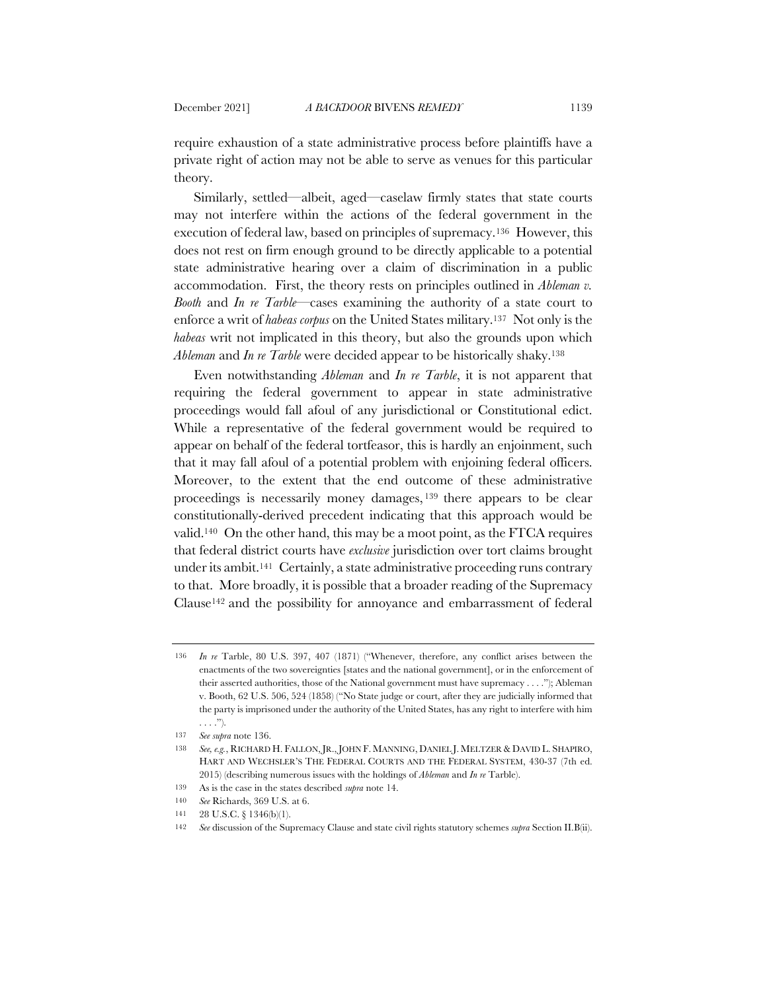require exhaustion of a state administrative process before plaintiffs have a private right of action may not be able to serve as venues for this particular theory.

Similarly, settled—albeit, aged—caselaw firmly states that state courts may not interfere within the actions of the federal government in the execution of federal law, based on principles of supremacy.136 However, this does not rest on firm enough ground to be directly applicable to a potential state administrative hearing over a claim of discrimination in a public accommodation. First, the theory rests on principles outlined in *Ableman v. Booth* and *In re Tarble*—cases examining the authority of a state court to enforce a writ of *habeas corpus* on the United States military.137 Not only is the *habeas* writ not implicated in this theory, but also the grounds upon which *Ableman* and *In re Tarble* were decided appear to be historically shaky.138

Even notwithstanding *Ableman* and *In re Tarble*, it is not apparent that requiring the federal government to appear in state administrative proceedings would fall afoul of any jurisdictional or Constitutional edict. While a representative of the federal government would be required to appear on behalf of the federal tortfeasor, this is hardly an enjoinment, such that it may fall afoul of a potential problem with enjoining federal officers. Moreover, to the extent that the end outcome of these administrative proceedings is necessarily money damages, <sup>139</sup> there appears to be clear constitutionally-derived precedent indicating that this approach would be valid.140 On the other hand, this may be a moot point, as the FTCA requires that federal district courts have *exclusive* jurisdiction over tort claims brought under its ambit.141 Certainly, a state administrative proceeding runs contrary to that. More broadly, it is possible that a broader reading of the Supremacy Clause142 and the possibility for annoyance and embarrassment of federal

<sup>136</sup> *In re* Tarble, 80 U.S. 397, 407 (1871) ("Whenever, therefore, any conflict arises between the enactments of the two sovereignties [states and the national government], or in the enforcement of their asserted authorities, those of the National government must have supremacy . . . ."); Ableman v. Booth, 62 U.S. 506, 524 (1858) ("No State judge or court, after they are judicially informed that the party is imprisoned under the authority of the United States, has any right to interfere with him . . . .").

<sup>137</sup> *See supra* note 136.

<sup>138</sup> *See, e.g.*, RICHARD H. FALLON,JR.,JOHN F. MANNING, DANIEL J. MELTZER & DAVID L. SHAPIRO, HART AND WECHSLER'S THE FEDERAL COURTS AND THE FEDERAL SYSTEM, 430-37 (7th ed. 2015) (describing numerous issues with the holdings of *Ableman* and *In re* Tarble).

<sup>139</sup> As is the case in the states described *supra* note 14.

<sup>140</sup> *See* Richards, 369 U.S. at 6.

<sup>141 28</sup> U.S.C. § 1346(b)(1).

<sup>142</sup> *See* discussion of the Supremacy Clause and state civil rights statutory schemes *supra* Section II.B(ii).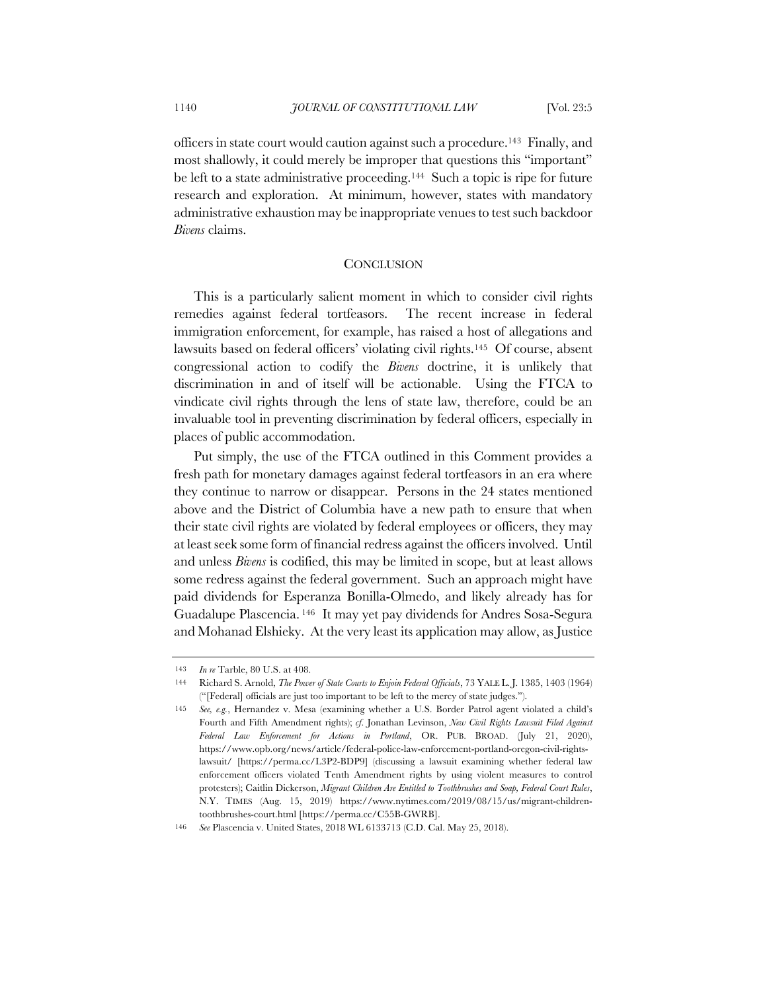officers in state court would caution against such a procedure.143 Finally, and most shallowly, it could merely be improper that questions this "important" be left to a state administrative proceeding.<sup>144</sup> Such a topic is ripe for future research and exploration. At minimum, however, states with mandatory administrative exhaustion may be inappropriate venues to test such backdoor *Bivens* claims.

#### **CONCLUSION**

This is a particularly salient moment in which to consider civil rights remedies against federal tortfeasors. The recent increase in federal immigration enforcement, for example, has raised a host of allegations and lawsuits based on federal officers' violating civil rights.145 Of course, absent congressional action to codify the *Bivens* doctrine, it is unlikely that discrimination in and of itself will be actionable. Using the FTCA to vindicate civil rights through the lens of state law, therefore, could be an invaluable tool in preventing discrimination by federal officers, especially in places of public accommodation.

Put simply, the use of the FTCA outlined in this Comment provides a fresh path for monetary damages against federal tortfeasors in an era where they continue to narrow or disappear. Persons in the 24 states mentioned above and the District of Columbia have a new path to ensure that when their state civil rights are violated by federal employees or officers, they may at least seek some form of financial redress against the officers involved. Until and unless *Bivens* is codified, this may be limited in scope, but at least allows some redress against the federal government. Such an approach might have paid dividends for Esperanza Bonilla-Olmedo, and likely already has for Guadalupe Plascencia. <sup>146</sup> It may yet pay dividends for Andres Sosa-Segura and Mohanad Elshieky. At the very least its application may allow, as Justice

<sup>143</sup> *In re* Tarble, 80 U.S. at 408.

<sup>144</sup> Richard S. Arnold, *The Power of State Courts to Enjoin Federal Officials*, 73 YALE L. J. 1385, 1403 (1964) ("[Federal] officials are just too important to be left to the mercy of state judges.").

<sup>145</sup> *See, e.g.*, Hernandez v. Mesa (examining whether a U.S. Border Patrol agent violated a child's Fourth and Fifth Amendment rights); *cf*. Jonathan Levinson, *New Civil Rights Lawsuit Filed Against Federal Law Enforcement for Actions in Portland*, OR. PUB. BROAD. (July 21, 2020), https://www.opb.org/news/article/federal-police-law-enforcement-portland-oregon-civil-rightslawsuit/ [https://perma.cc/L3P2-BDP9] (discussing a lawsuit examining whether federal law enforcement officers violated Tenth Amendment rights by using violent measures to control protesters); Caitlin Dickerson, *Migrant Children Are Entitled to Toothbrushes and Soap, Federal Court Rules*, N.Y. TIMES (Aug. 15, 2019) https://www.nytimes.com/2019/08/15/us/migrant-childrentoothbrushes-court.html [https://perma.cc/C55B-GWRB].

<sup>146</sup> *See* Plascencia v. United States, 2018 WL 6133713 (C.D. Cal. May 25, 2018).